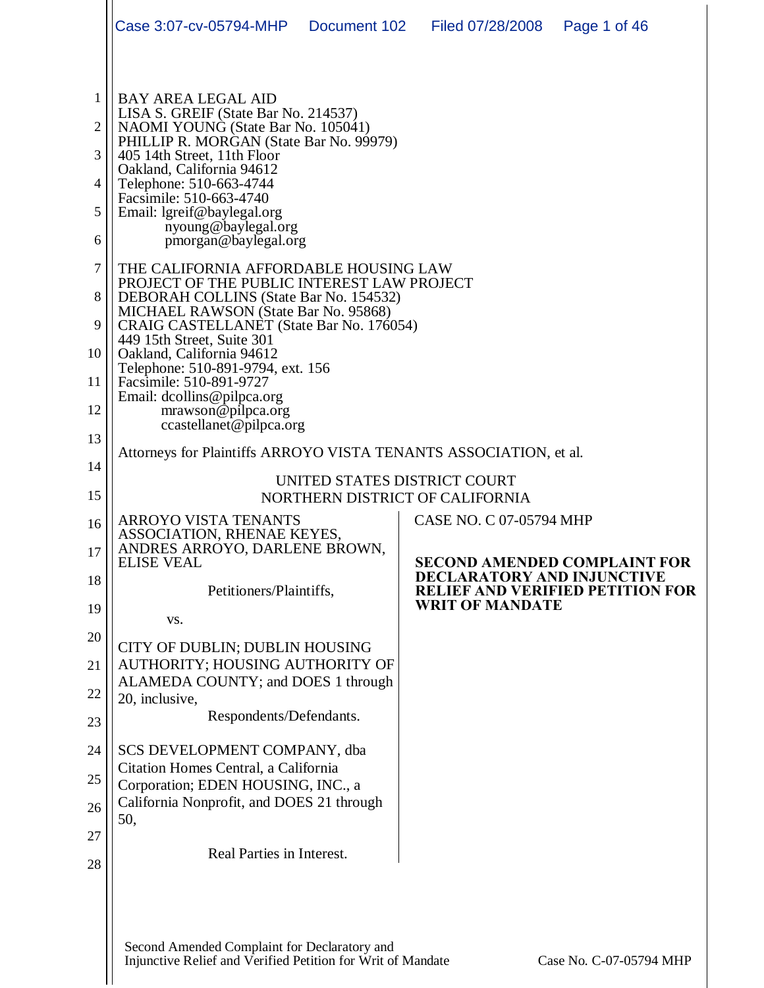|                                                             | Case 3:07-cv-05794-MHP   Document 102                                                                                                                                                                                                                                                                                                                                                                                                                                                                                                                                                                                                                                                                                                                                            |                              | Filed 07/28/2008                                            | Page 1 of 46                            |
|-------------------------------------------------------------|----------------------------------------------------------------------------------------------------------------------------------------------------------------------------------------------------------------------------------------------------------------------------------------------------------------------------------------------------------------------------------------------------------------------------------------------------------------------------------------------------------------------------------------------------------------------------------------------------------------------------------------------------------------------------------------------------------------------------------------------------------------------------------|------------------------------|-------------------------------------------------------------|-----------------------------------------|
| 1<br>2<br>3<br>4<br>5<br>6<br>7<br>8<br>9<br>10<br>11<br>12 | <b>BAY AREA LEGAL AID</b><br>LISA S. GREIF (State Bar No. 214537)<br>NAOMI YOUNG (State Bar No. 105041)<br>PHILLIP R. MORGAN (State Bar No. 99979)<br>405 14th Street, 11th Floor<br>Oakland, California 94612<br>Telephone: 510-663-4744<br>Facsimile: 510-663-4740<br>Email: lgreif@baylegal.org<br>nyoung@baylegal.org<br>pmorgan@baylegal.org<br>THE CALIFORNIA AFFORDABLE HOUSING LAW<br>PROJECT OF THE PUBLIC INTEREST LAW PROJECT<br>DEBORAH COLLINS (State Bar No. 154532)<br>MICHAEL RAWSON (State Bar No. 95868)<br>CRAIG CASTELLANET (State Bar No. 176054)<br>449 15th Street, Suite 301<br>Oakland, California 94612<br>Telephone: 510-891-9794, ext. 156<br>Facsimile: 510-891-9727<br>Email: dcollins@pilpca.org<br>mrawson@pilpca.org<br>ccastellanet@pilpca.org |                              |                                                             |                                         |
| 13                                                          | Attorneys for Plaintiffs ARROYO VISTA TENANTS ASSOCIATION, et al.                                                                                                                                                                                                                                                                                                                                                                                                                                                                                                                                                                                                                                                                                                                |                              |                                                             |                                         |
| 14                                                          |                                                                                                                                                                                                                                                                                                                                                                                                                                                                                                                                                                                                                                                                                                                                                                                  | UNITED STATES DISTRICT COURT |                                                             |                                         |
| 15                                                          |                                                                                                                                                                                                                                                                                                                                                                                                                                                                                                                                                                                                                                                                                                                                                                                  |                              | NORTHERN DISTRICT OF CALIFORNIA                             |                                         |
| 16<br>17                                                    | <b>ARROYO VISTA TENANTS</b><br>ASSOCIATION, RHENAE KEYES,<br>ANDRES ARROYO, DARLENE BROWN,<br><b>ELISE VEAL</b>                                                                                                                                                                                                                                                                                                                                                                                                                                                                                                                                                                                                                                                                  |                              | <b>CASE NO. C 07-05794 MHP</b>                              | <b>SECOND AMENDED COMPLAINT FOR</b>     |
| 18                                                          | Petitioners/Plaintiffs,                                                                                                                                                                                                                                                                                                                                                                                                                                                                                                                                                                                                                                                                                                                                                          |                              | <b>DECLARATORY AND INJUNCTIVE</b><br><b>WRIT OF MANDATE</b> | <b>RELIEF AND VERIFIED PETITION FOR</b> |
| 19                                                          | VS.                                                                                                                                                                                                                                                                                                                                                                                                                                                                                                                                                                                                                                                                                                                                                                              |                              |                                                             |                                         |
| 20<br>21                                                    | CITY OF DUBLIN; DUBLIN HOUSING<br>AUTHORITY; HOUSING AUTHORITY OF                                                                                                                                                                                                                                                                                                                                                                                                                                                                                                                                                                                                                                                                                                                |                              |                                                             |                                         |
| 22                                                          | ALAMEDA COUNTY; and DOES 1 through<br>20, inclusive,                                                                                                                                                                                                                                                                                                                                                                                                                                                                                                                                                                                                                                                                                                                             |                              |                                                             |                                         |
| 23                                                          | Respondents/Defendants.                                                                                                                                                                                                                                                                                                                                                                                                                                                                                                                                                                                                                                                                                                                                                          |                              |                                                             |                                         |
| 24                                                          | SCS DEVELOPMENT COMPANY, dba                                                                                                                                                                                                                                                                                                                                                                                                                                                                                                                                                                                                                                                                                                                                                     |                              |                                                             |                                         |
| 25                                                          | Citation Homes Central, a California<br>Corporation; EDEN HOUSING, INC., a                                                                                                                                                                                                                                                                                                                                                                                                                                                                                                                                                                                                                                                                                                       |                              |                                                             |                                         |
| 26                                                          | California Nonprofit, and DOES 21 through                                                                                                                                                                                                                                                                                                                                                                                                                                                                                                                                                                                                                                                                                                                                        |                              |                                                             |                                         |
| 27                                                          | 50,                                                                                                                                                                                                                                                                                                                                                                                                                                                                                                                                                                                                                                                                                                                                                                              |                              |                                                             |                                         |
| 28                                                          | Real Parties in Interest.                                                                                                                                                                                                                                                                                                                                                                                                                                                                                                                                                                                                                                                                                                                                                        |                              |                                                             |                                         |
|                                                             | Second Amended Complaint for Declaratory and<br>Injunctive Relief and Verified Petition for Writ of Mandate                                                                                                                                                                                                                                                                                                                                                                                                                                                                                                                                                                                                                                                                      |                              |                                                             | Case No. C-07-05794 MHP                 |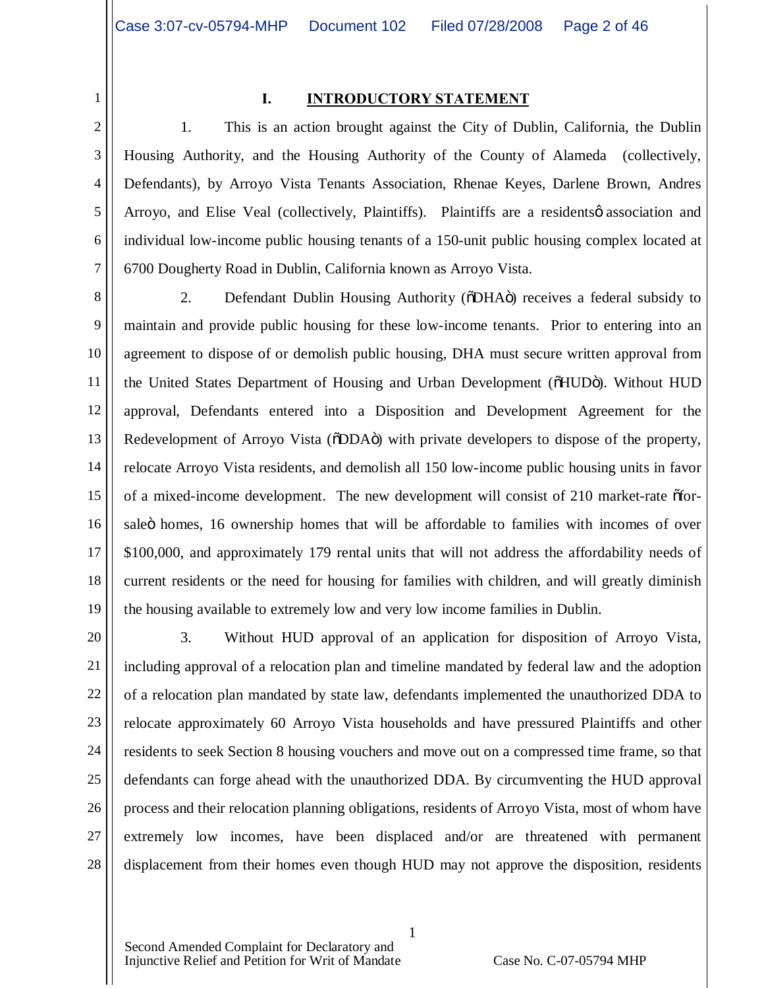1

#### **I. INTRODUCTORY STATEMENT**

2 3 4 5 6 7 1. This is an action brought against the City of Dublin, California, the Dublin Housing Authority, and the Housing Authority of the County of Alameda (collectively, Defendants), by Arroyo Vista Tenants Association, Rhenae Keyes, Darlene Brown, Andres Arroyo, and Elise Veal (collectively, Plaintiffs). Plaintiffs are a residents  $\phi$  association and individual low-income public housing tenants of a 150-unit public housing complex located at 6700 Dougherty Road in Dublin, California known as Arroyo Vista.

8 9 10 11 12 13 14 15 16 17 18 19 2. Defendant Dublin Housing Authority ( $\delta$ DHA $\ddot{\text{o}}$ ) receives a federal subsidy to maintain and provide public housing for these low-income tenants. Prior to entering into an agreement to dispose of or demolish public housing, DHA must secure written approval from the United States Department of Housing and Urban Development ( $\delta HUD$ o). Without HUD approval, Defendants entered into a Disposition and Development Agreement for the Redevelopment of Arroyo Vista ( $\delta$ DDA $\ddot{o}$ ) with private developers to dispose of the property, relocate Arroyo Vista residents, and demolish all 150 low-income public housing units in favor of a mixed-income development. The new development will consist of 210 market-rate offorsaleö homes, 16 ownership homes that will be affordable to families with incomes of over \$100,000, and approximately 179 rental units that will not address the affordability needs of current residents or the need for housing for families with children, and will greatly diminish the housing available to extremely low and very low income families in Dublin.

20 21 22 23 24 25 26 27 28 3. Without HUD approval of an application for disposition of Arroyo Vista, including approval of a relocation plan and timeline mandated by federal law and the adoption of a relocation plan mandated by state law, defendants implemented the unauthorized DDA to relocate approximately 60 Arroyo Vista households and have pressured Plaintiffs and other residents to seek Section 8 housing vouchers and move out on a compressed time frame, so that defendants can forge ahead with the unauthorized DDA. By circumventing the HUD approval process and their relocation planning obligations, residents of Arroyo Vista, most of whom have extremely low incomes, have been displaced and/or are threatened with permanent displacement from their homes even though HUD may not approve the disposition, residents

1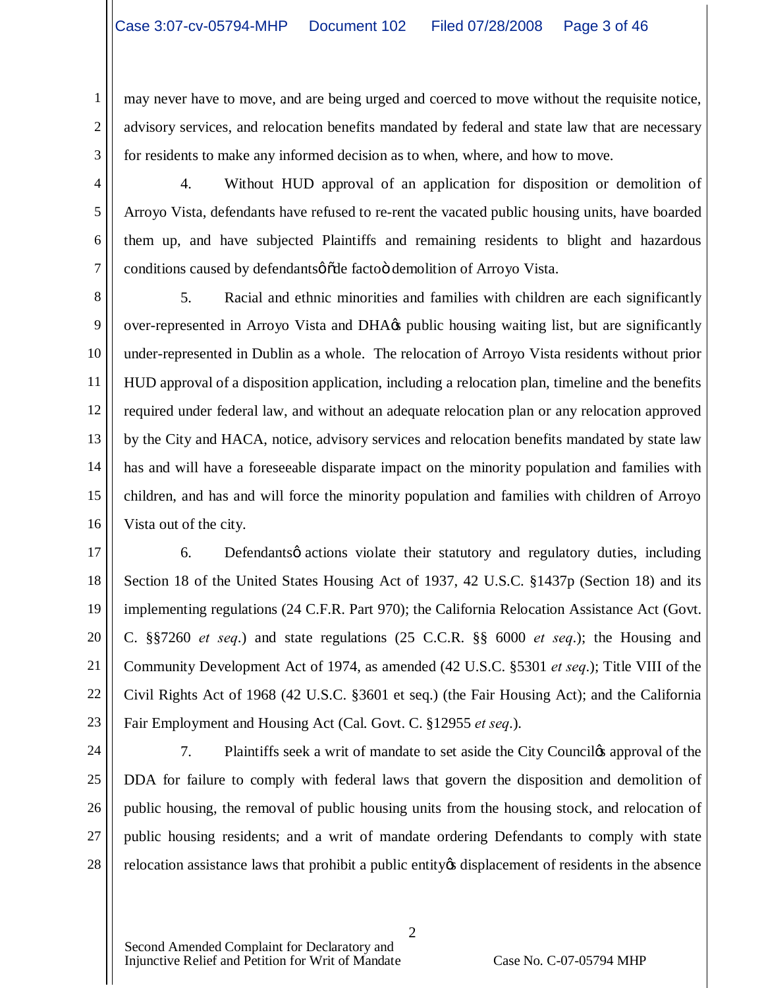may never have to move, and are being urged and coerced to move without the requisite notice, advisory services, and relocation benefits mandated by federal and state law that are necessary for residents to make any informed decision as to when, where, and how to move.

4. Without HUD approval of an application for disposition or demolition of Arroyo Vista, defendants have refused to re-rent the vacated public housing units, have boarded them up, and have subjected Plaintiffs and remaining residents to blight and hazardous conditions caused by defendants  $\phi$  and facto demolition of Arroyo Vista.

8 9 10 11 12 13 14 15 16 5. Racial and ethnic minorities and families with children are each significantly over-represented in Arroyo Vista and DHA $\alpha$  public housing waiting list, but are significantly under-represented in Dublin as a whole. The relocation of Arroyo Vista residents without prior HUD approval of a disposition application, including a relocation plan, timeline and the benefits required under federal law, and without an adequate relocation plan or any relocation approved by the City and HACA, notice, advisory services and relocation benefits mandated by state law has and will have a foreseeable disparate impact on the minority population and families with children, and has and will force the minority population and families with children of Arroyo Vista out of the city.

17 18 19 20 21 22 23 6. Defendants o actions violate their statutory and regulatory duties, including Section 18 of the United States Housing Act of 1937, 42 U.S.C. §1437p (Section 18) and its implementing regulations (24 C.F.R. Part 970); the California Relocation Assistance Act (Govt. C. §§7260 *et seq*.) and state regulations (25 C.C.R. §§ 6000 *et seq*.); the Housing and Community Development Act of 1974, as amended (42 U.S.C. §5301 *et seq*.); Title VIII of the Civil Rights Act of 1968 (42 U.S.C. §3601 et seq.) (the Fair Housing Act); and the California Fair Employment and Housing Act (Cal. Govt. C. §12955 *et seq*.).

24

25

26

27

28

1

2

3

4

5

6

7

7. Plaintiffs seek a writ of mandate to set aside the City Counciles approval of the DDA for failure to comply with federal laws that govern the disposition and demolition of public housing, the removal of public housing units from the housing stock, and relocation of public housing residents; and a writ of mandate ordering Defendants to comply with state relocation assistance laws that prohibit a public entity of displacement of residents in the absence

2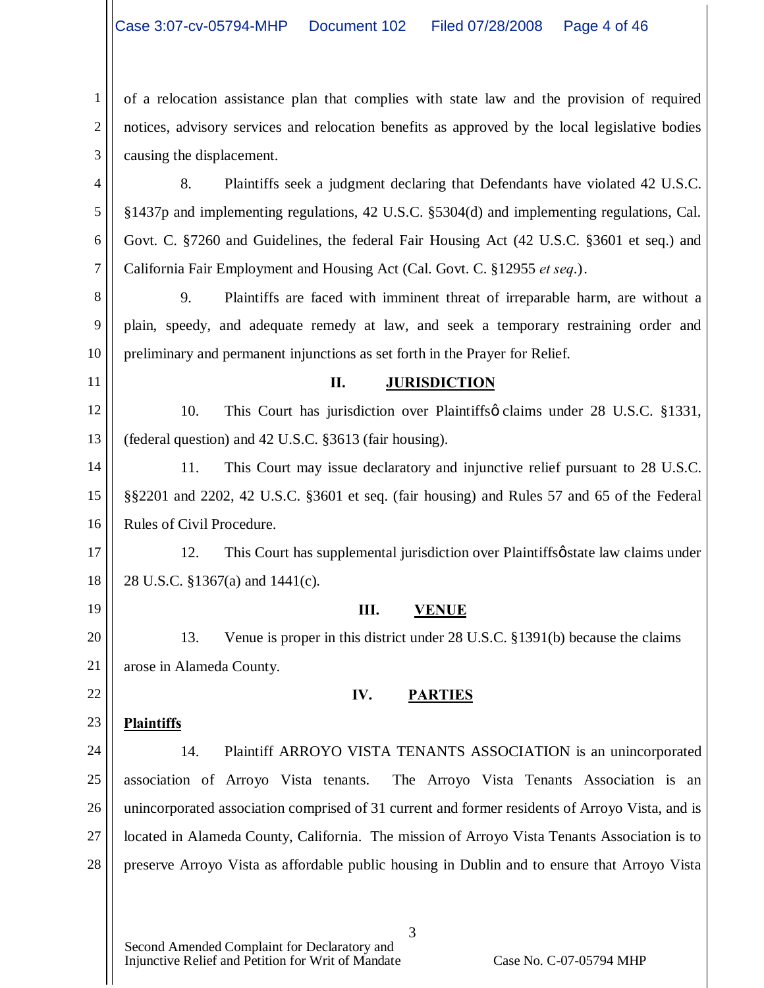1 2 3 of a relocation assistance plan that complies with state law and the provision of required notices, advisory services and relocation benefits as approved by the local legislative bodies causing the displacement.

4 5 6 7 8. Plaintiffs seek a judgment declaring that Defendants have violated 42 U.S.C. §1437p and implementing regulations, 42 U.S.C. §5304(d) and implementing regulations, Cal. Govt. C. §7260 and Guidelines, the federal Fair Housing Act (42 U.S.C. §3601 et seq.) and California Fair Employment and Housing Act (Cal. Govt. C. §12955 *et seq*.).

8 9 10 9. Plaintiffs are faced with imminent threat of irreparable harm, are without a plain, speedy, and adequate remedy at law, and seek a temporary restraining order and preliminary and permanent injunctions as set forth in the Prayer for Relief.

11

19

22

23

# **II. JURISDICTION**

12 13 10. This Court has jurisdiction over Plaintiffs claims under 28 U.S.C. §1331, (federal question) and 42 U.S.C. §3613 (fair housing).

14 15 16 11. This Court may issue declaratory and injunctive relief pursuant to 28 U.S.C. §§2201 and 2202, 42 U.S.C. §3601 et seq. (fair housing) and Rules 57 and 65 of the Federal Rules of Civil Procedure.

17 18 12. This Court has supplemental jurisdiction over Plaintiffs *o* state law claims under 28 U.S.C. §1367(a) and 1441(c).

### **III. VENUE**

20 21 13. Venue is proper in this district under 28 U.S.C. §1391(b) because the claims arose in Alameda County.

### **IV. PARTIES**

# **Plaintiffs**

24 25 26 27 28 14. Plaintiff ARROYO VISTA TENANTS ASSOCIATION is an unincorporated association of Arroyo Vista tenants. The Arroyo Vista Tenants Association is an unincorporated association comprised of 31 current and former residents of Arroyo Vista, and is located in Alameda County, California. The mission of Arroyo Vista Tenants Association is to preserve Arroyo Vista as affordable public housing in Dublin and to ensure that Arroyo Vista

3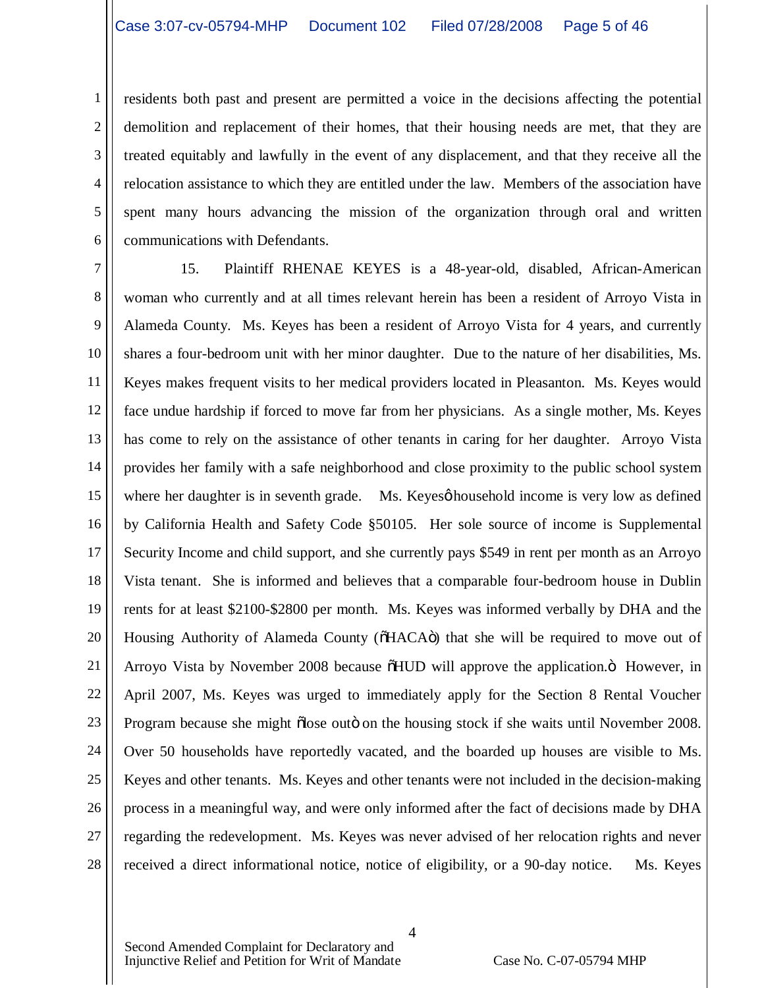1 2 3 4 5 6 residents both past and present are permitted a voice in the decisions affecting the potential demolition and replacement of their homes, that their housing needs are met, that they are treated equitably and lawfully in the event of any displacement, and that they receive all the relocation assistance to which they are entitled under the law. Members of the association have spent many hours advancing the mission of the organization through oral and written communications with Defendants.

7 8 9 10 11 12 13 14 15 16 17 18 19 20 21 22 23 24 25 26 27 28 15. Plaintiff RHENAE KEYES is a 48-year-old, disabled, African-American woman who currently and at all times relevant herein has been a resident of Arroyo Vista in Alameda County. Ms. Keyes has been a resident of Arroyo Vista for 4 years, and currently shares a four-bedroom unit with her minor daughter. Due to the nature of her disabilities, Ms. Keyes makes frequent visits to her medical providers located in Pleasanton. Ms. Keyes would face undue hardship if forced to move far from her physicians. As a single mother, Ms. Keyes has come to rely on the assistance of other tenants in caring for her daughter. Arroyo Vista provides her family with a safe neighborhood and close proximity to the public school system where her daughter is in seventh grade. Ms. Keyes thousehold income is very low as defined by California Health and Safety Code §50105. Her sole source of income is Supplemental Security Income and child support, and she currently pays \$549 in rent per month as an Arroyo Vista tenant. She is informed and believes that a comparable four-bedroom house in Dublin rents for at least \$2100-\$2800 per month. Ms. Keyes was informed verbally by DHA and the Housing Authority of Alameda County ( $\delta$ HACA $\ddot{o}$ ) that she will be required to move out of Arroyo Vista by November 2008 because  $\delta HUD$  will approve the application. $\ddot{o}$  However, in April 2007, Ms. Keyes was urged to immediately apply for the Section 8 Rental Voucher Program because she might õlose outö on the housing stock if she waits until November 2008. Over 50 households have reportedly vacated, and the boarded up houses are visible to Ms. Keyes and other tenants. Ms. Keyes and other tenants were not included in the decision-making process in a meaningful way, and were only informed after the fact of decisions made by DHA regarding the redevelopment. Ms. Keyes was never advised of her relocation rights and never received a direct informational notice, notice of eligibility, or a 90-day notice. Ms. Keyes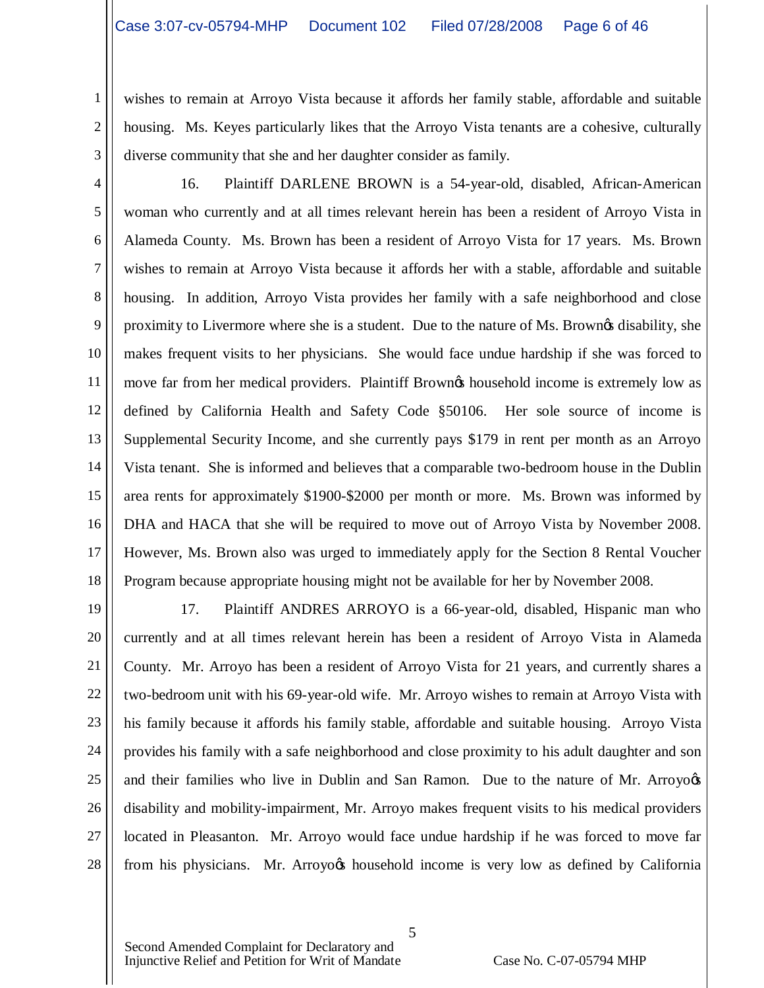1 2 wishes to remain at Arroyo Vista because it affords her family stable, affordable and suitable housing. Ms. Keyes particularly likes that the Arroyo Vista tenants are a cohesive, culturally diverse community that she and her daughter consider as family.

3

4 5 6 7 8 9 10 11 12 13 14 15 16 17 18 16. Plaintiff DARLENE BROWN is a 54-year-old, disabled, African-American woman who currently and at all times relevant herein has been a resident of Arroyo Vista in Alameda County. Ms. Brown has been a resident of Arroyo Vista for 17 years. Ms. Brown wishes to remain at Arroyo Vista because it affords her with a stable, affordable and suitable housing. In addition, Arroyo Vista provides her family with a safe neighborhood and close proximity to Livermore where she is a student. Due to the nature of Ms. Browngs disability, she makes frequent visits to her physicians. She would face undue hardship if she was forced to move far from her medical providers. Plaintiff Brown the household income is extremely low as defined by California Health and Safety Code §50106. Her sole source of income is Supplemental Security Income, and she currently pays \$179 in rent per month as an Arroyo Vista tenant. She is informed and believes that a comparable two-bedroom house in the Dublin area rents for approximately \$1900-\$2000 per month or more. Ms. Brown was informed by DHA and HACA that she will be required to move out of Arroyo Vista by November 2008. However, Ms. Brown also was urged to immediately apply for the Section 8 Rental Voucher Program because appropriate housing might not be available for her by November 2008.

19 20 21 22 23 24 25 26 27 28 17. Plaintiff ANDRES ARROYO is a 66-year-old, disabled, Hispanic man who currently and at all times relevant herein has been a resident of Arroyo Vista in Alameda County. Mr. Arroyo has been a resident of Arroyo Vista for 21 years, and currently shares a two-bedroom unit with his 69-year-old wife. Mr. Arroyo wishes to remain at Arroyo Vista with his family because it affords his family stable, affordable and suitable housing. Arroyo Vista provides his family with a safe neighborhood and close proximity to his adult daughter and son and their families who live in Dublin and San Ramon. Due to the nature of Mr. Arroyogs disability and mobility-impairment, Mr. Arroyo makes frequent visits to his medical providers located in Pleasanton. Mr. Arroyo would face undue hardship if he was forced to move far from his physicians. Mr. Arroyo $\alpha$  household income is very low as defined by California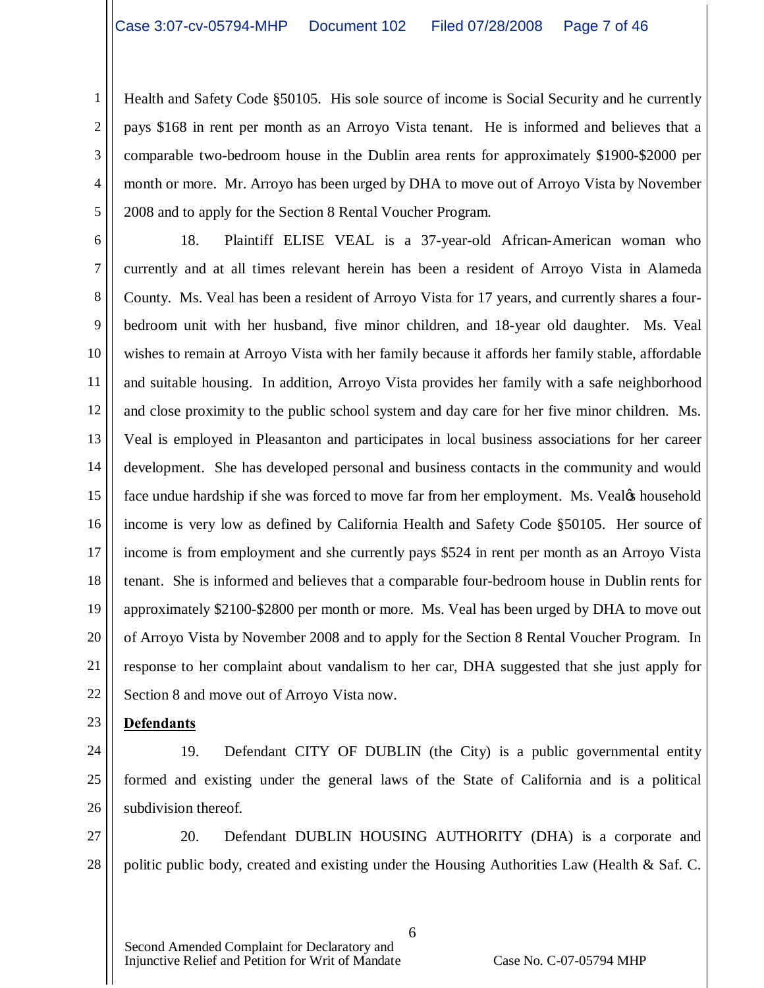1 2 3 4 5 Health and Safety Code §50105. His sole source of income is Social Security and he currently pays \$168 in rent per month as an Arroyo Vista tenant. He is informed and believes that a comparable two-bedroom house in the Dublin area rents for approximately \$1900-\$2000 per month or more. Mr. Arroyo has been urged by DHA to move out of Arroyo Vista by November 2008 and to apply for the Section 8 Rental Voucher Program.

6

7 8 9 10 11 12 13 14 15 16 17 18 19 20 21 22 18. Plaintiff ELISE VEAL is a 37-year-old African-American woman who currently and at all times relevant herein has been a resident of Arroyo Vista in Alameda County. Ms. Veal has been a resident of Arroyo Vista for 17 years, and currently shares a fourbedroom unit with her husband, five minor children, and 18-year old daughter. Ms. Veal wishes to remain at Arroyo Vista with her family because it affords her family stable, affordable and suitable housing. In addition, Arroyo Vista provides her family with a safe neighborhood and close proximity to the public school system and day care for her five minor children. Ms. Veal is employed in Pleasanton and participates in local business associations for her career development. She has developed personal and business contacts in the community and would face undue hardship if she was forced to move far from her employment. Ms. Vealøs household income is very low as defined by California Health and Safety Code §50105. Her source of income is from employment and she currently pays \$524 in rent per month as an Arroyo Vista tenant. She is informed and believes that a comparable four-bedroom house in Dublin rents for approximately \$2100-\$2800 per month or more. Ms. Veal has been urged by DHA to move out of Arroyo Vista by November 2008 and to apply for the Section 8 Rental Voucher Program. In response to her complaint about vandalism to her car, DHA suggested that she just apply for Section 8 and move out of Arroyo Vista now.

23

# **Defendants**

- 24
	-

25 26 19. Defendant CITY OF DUBLIN (the City) is a public governmental entity formed and existing under the general laws of the State of California and is a political subdivision thereof.

27 28 20. Defendant DUBLIN HOUSING AUTHORITY (DHA) is a corporate and politic public body, created and existing under the Housing Authorities Law (Health & Saf. C.

6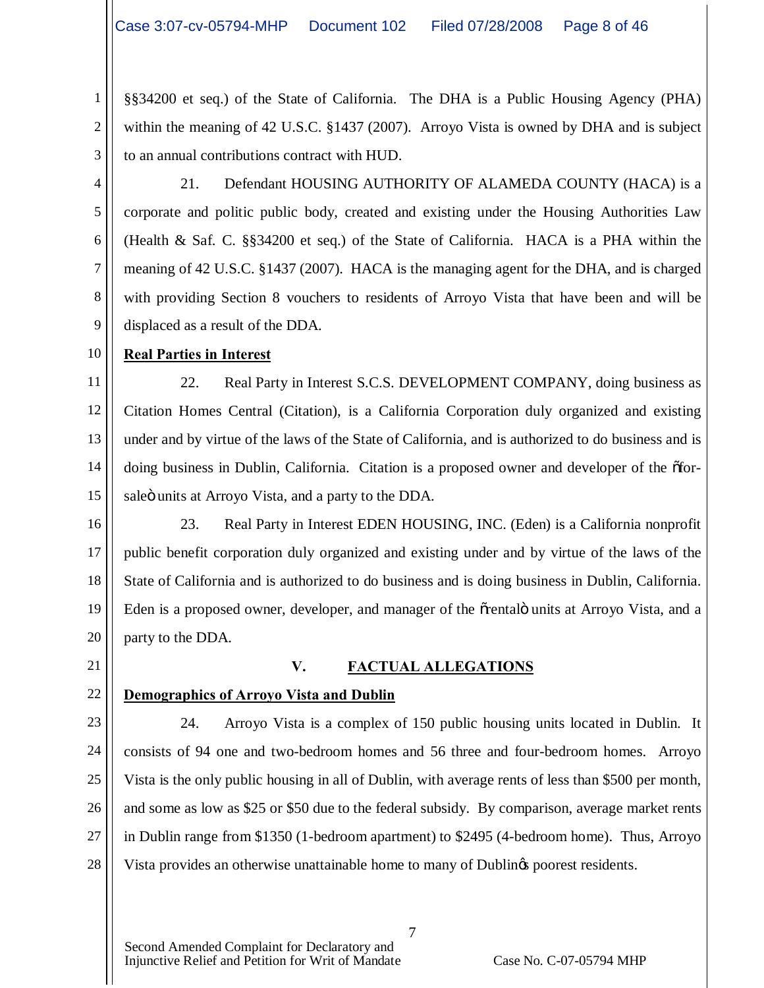§§34200 et seq.) of the State of California. The DHA is a Public Housing Agency (PHA) within the meaning of 42 U.S.C. §1437 (2007). Arroyo Vista is owned by DHA and is subject to an annual contributions contract with HUD.

3 4

5

6

7

8

9

1

2

21. Defendant HOUSING AUTHORITY OF ALAMEDA COUNTY (HACA) is a corporate and politic public body, created and existing under the Housing Authorities Law (Health & Saf. C. §§34200 et seq.) of the State of California. HACA is a PHA within the meaning of 42 U.S.C. §1437 (2007). HACA is the managing agent for the DHA, and is charged with providing Section 8 vouchers to residents of Arroyo Vista that have been and will be displaced as a result of the DDA.

#### 10 **Real Parties in Interest**

11 12 13 14 15 22. Real Party in Interest S.C.S. DEVELOPMENT COMPANY, doing business as Citation Homes Central (Citation), is a California Corporation duly organized and existing under and by virtue of the laws of the State of California, and is authorized to do business and is doing business in Dublin, California. Citation is a proposed owner and developer of the  $\delta$ forsaleö units at Arroyo Vista, and a party to the DDA.

16 17 18 19 20 23. Real Party in Interest EDEN HOUSING, INC. (Eden) is a California nonprofit public benefit corporation duly organized and existing under and by virtue of the laws of the State of California and is authorized to do business and is doing business in Dublin, California. Eden is a proposed owner, developer, and manager of the õrentalö units at Arroyo Vista, and a party to the DDA.

21

22

### **V. FACTUAL ALLEGATIONS**

# **Demographics of Arroyo Vista and Dublin**

23 24 25 26 27 28 24. Arroyo Vista is a complex of 150 public housing units located in Dublin. It consists of 94 one and two-bedroom homes and 56 three and four-bedroom homes. Arroyo Vista is the only public housing in all of Dublin, with average rents of less than \$500 per month, and some as low as \$25 or \$50 due to the federal subsidy. By comparison, average market rents in Dublin range from \$1350 (1-bedroom apartment) to \$2495 (4-bedroom home). Thus, Arroyo Vista provides an otherwise unattainable home to many of Dublings poorest residents.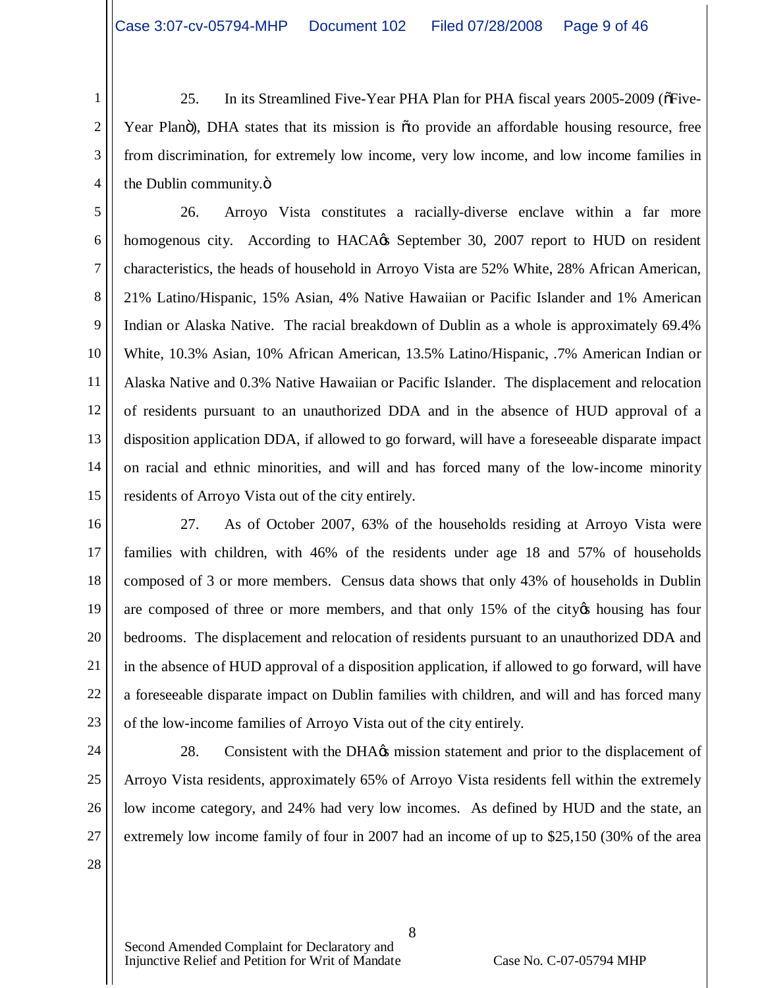1 2 3 4 25. In its Streamlined Five-Year PHA Plan for PHA fiscal years 2005-2009 (or Five-Year Planö), DHA states that its mission is õto provide an affordable housing resource, free from discrimination, for extremely low income, very low income, and low income families in the Dublin community. $\ddot{\text{o}}$ 

5 6 7 8 9 10 11 12 13 14 15 26. Arroyo Vista constitutes a racially-diverse enclave within a far more homogenous city. According to HACA $\alpha$ 's September 30, 2007 report to HUD on resident characteristics, the heads of household in Arroyo Vista are 52% White, 28% African American, 21% Latino/Hispanic, 15% Asian, 4% Native Hawaiian or Pacific Islander and 1% American Indian or Alaska Native. The racial breakdown of Dublin as a whole is approximately 69.4% White, 10.3% Asian, 10% African American, 13.5% Latino/Hispanic, .7% American Indian or Alaska Native and 0.3% Native Hawaiian or Pacific Islander. The displacement and relocation of residents pursuant to an unauthorized DDA and in the absence of HUD approval of a disposition application DDA, if allowed to go forward, will have a foreseeable disparate impact on racial and ethnic minorities, and will and has forced many of the low-income minority residents of Arroyo Vista out of the city entirely.

16 17 18 19 20 21 22 23 27. As of October 2007, 63% of the households residing at Arroyo Vista were families with children, with 46% of the residents under age 18 and 57% of households composed of 3 or more members. Census data shows that only 43% of households in Dublin are composed of three or more members, and that only 15% of the city thousing has four bedrooms. The displacement and relocation of residents pursuant to an unauthorized DDA and in the absence of HUD approval of a disposition application, if allowed to go forward, will have a foreseeable disparate impact on Dublin families with children, and will and has forced many of the low-income families of Arroyo Vista out of the city entirely.

24

25

26

27

28. Consistent with the DHA $\alpha$ s mission statement and prior to the displacement of Arroyo Vista residents, approximately 65% of Arroyo Vista residents fell within the extremely low income category, and 24% had very low incomes. As defined by HUD and the state, an extremely low income family of four in 2007 had an income of up to \$25,150 (30% of the area

8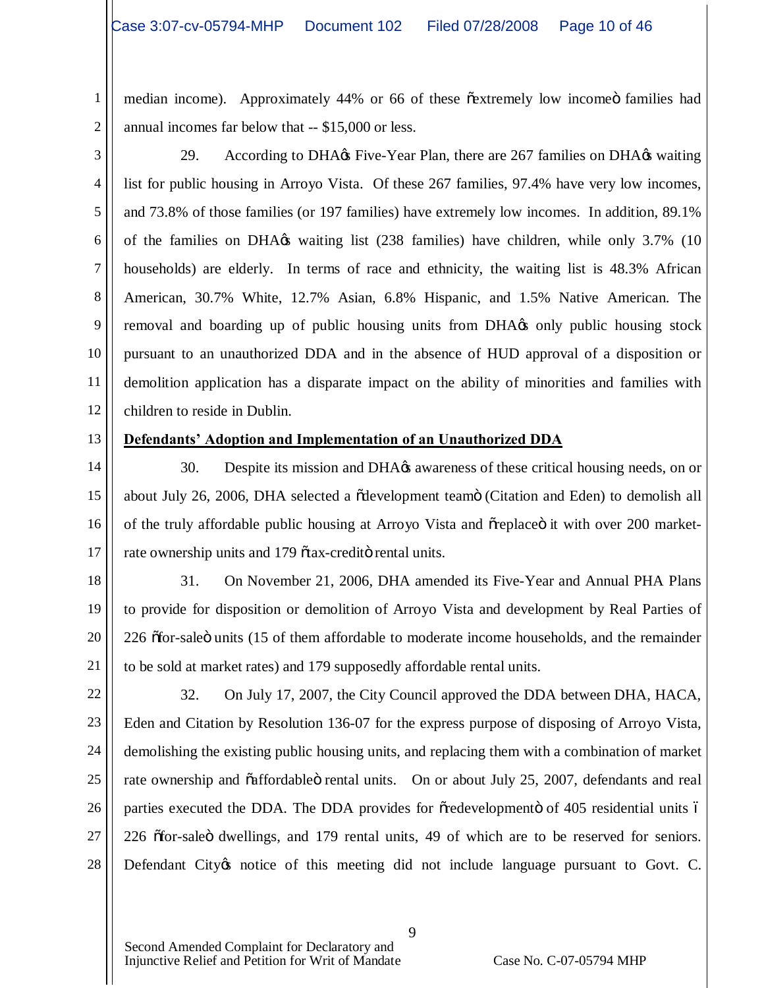1 2 median income). Approximately 44% or 66 of these  $\tilde{c}$  extremely low income families had annual incomes far below that -- \$15,000 or less.

3

4 5 6 7 8 9 10 11 12 29. According to DHA $\alpha$  Five-Year Plan, there are 267 families on DHA $\alpha$  waiting list for public housing in Arroyo Vista. Of these 267 families, 97.4% have very low incomes, and 73.8% of those families (or 197 families) have extremely low incomes. In addition, 89.1% of the families on DHA $\alpha$  waiting list (238 families) have children, while only 3.7% (10 households) are elderly. In terms of race and ethnicity, the waiting list is 48.3% African American, 30.7% White, 12.7% Asian, 6.8% Hispanic, and 1.5% Native American. The removal and boarding up of public housing units from DHA $\alpha$  only public housing stock pursuant to an unauthorized DDA and in the absence of HUD approval of a disposition or demolition application has a disparate impact on the ability of minorities and families with children to reside in Dublin.

13

### **Defendants' Adoption and Implementation of an Unauthorized DDA**

14 15 16 17 30. Despite its mission and DHA $\alpha$  awareness of these critical housing needs, on or about July 26, 2006, DHA selected a õdevelopment teamö (Citation and Eden) to demolish all of the truly affordable public housing at Arroyo Vista and  $\tilde{\sigma}$ replace it with over 200 marketrate ownership units and 179  $\tilde{\sigma}$  tax-credito rental units.

18

19

20

21

31. On November 21, 2006, DHA amended its Five-Year and Annual PHA Plans to provide for disposition or demolition of Arroyo Vista and development by Real Parties of 226  $\delta$ for-sale $\ddot{o}$  units (15 of them affordable to moderate income households, and the remainder to be sold at market rates) and 179 supposedly affordable rental units.

22 23

24 25 26 27 28 32. On July 17, 2007, the City Council approved the DDA between DHA, HACA, Eden and Citation by Resolution 136-07 for the express purpose of disposing of Arroyo Vista, demolishing the existing public housing units, and replacing them with a combination of market rate ownership and õaffordableö rental units. On or about July 25, 2007, defendants and real parties executed the DDA. The DDA provides for  $\tilde{\sigma}$  redevelopment of 405 residential units 6 226  $\delta$ for-sale ö dwellings, and 179 rental units, 49 of which are to be reserved for seniors. Defendant City tnotice of this meeting did not include language pursuant to Govt. C.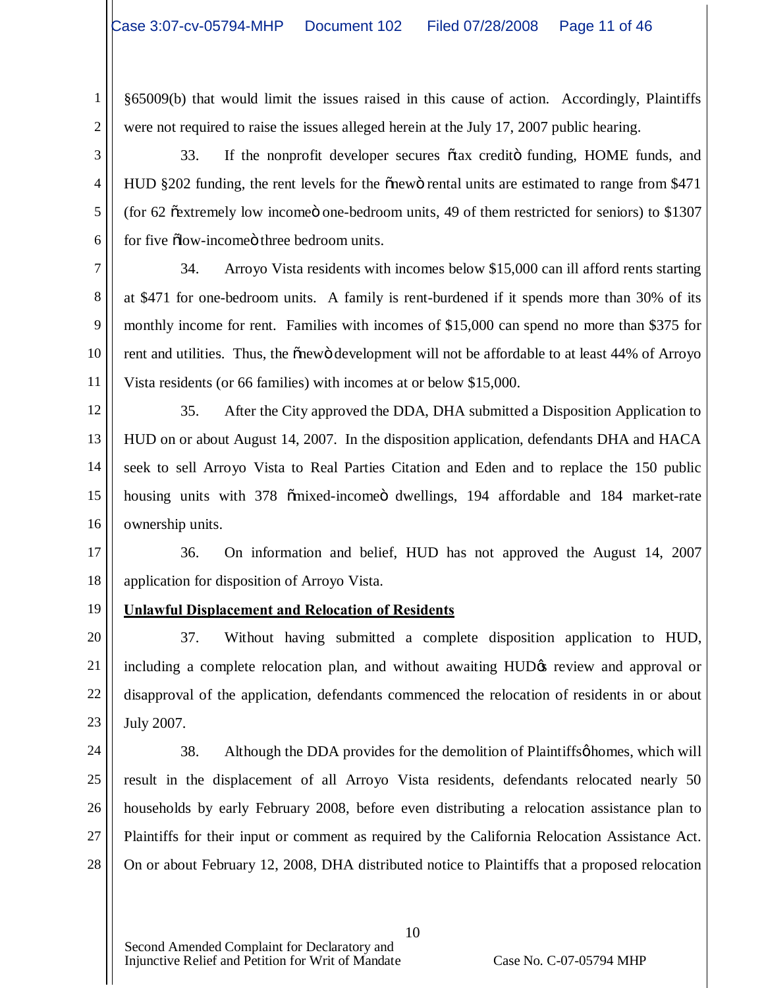§65009(b) that would limit the issues raised in this cause of action. Accordingly, Plaintiffs were not required to raise the issues alleged herein at the July 17, 2007 public hearing.

3 4 5 6 33. If the nonprofit developer secures õtax creditö funding, HOME funds, and HUD §202 funding, the rent levels for the onewo rental units are estimated to range from \$471 (for  $62$   $\tilde{\text{c}}$  extremely low income one-bedroom units, 49 of them restricted for seniors) to \$1307 for five  $\delta$ low-income three bedroom units.

7 8 9 10 11 34. Arroyo Vista residents with incomes below \$15,000 can ill afford rents starting at \$471 for one-bedroom units. A family is rent-burdened if it spends more than 30% of its monthly income for rent. Families with incomes of \$15,000 can spend no more than \$375 for rent and utilities. Thus, the onewo development will not be affordable to at least 44% of Arroyo Vista residents (or 66 families) with incomes at or below \$15,000.

12 13 14 15 16 35. After the City approved the DDA, DHA submitted a Disposition Application to HUD on or about August 14, 2007. In the disposition application, defendants DHA and HACA seek to sell Arroyo Vista to Real Parties Citation and Eden and to replace the 150 public housing units with 378  $\ddot{\text{o}}$ mixed-income dwellings, 194 affordable and 184 market-rate ownership units.

17 18 36. On information and belief, HUD has not approved the August 14, 2007 application for disposition of Arroyo Vista.

19

1

2

# **Unlawful Displacement and Relocation of Residents**

20 21 22 23 37. Without having submitted a complete disposition application to HUD, including a complete relocation plan, and without awaiting HUD $\alpha$  review and approval or disapproval of the application, defendants commenced the relocation of residents in or about July 2007.

24 25 26 27 28 38. Although the DDA provides for the demolition of Plaintiffs homes, which will result in the displacement of all Arroyo Vista residents, defendants relocated nearly 50 households by early February 2008, before even distributing a relocation assistance plan to Plaintiffs for their input or comment as required by the California Relocation Assistance Act. On or about February 12, 2008, DHA distributed notice to Plaintiffs that a proposed relocation

10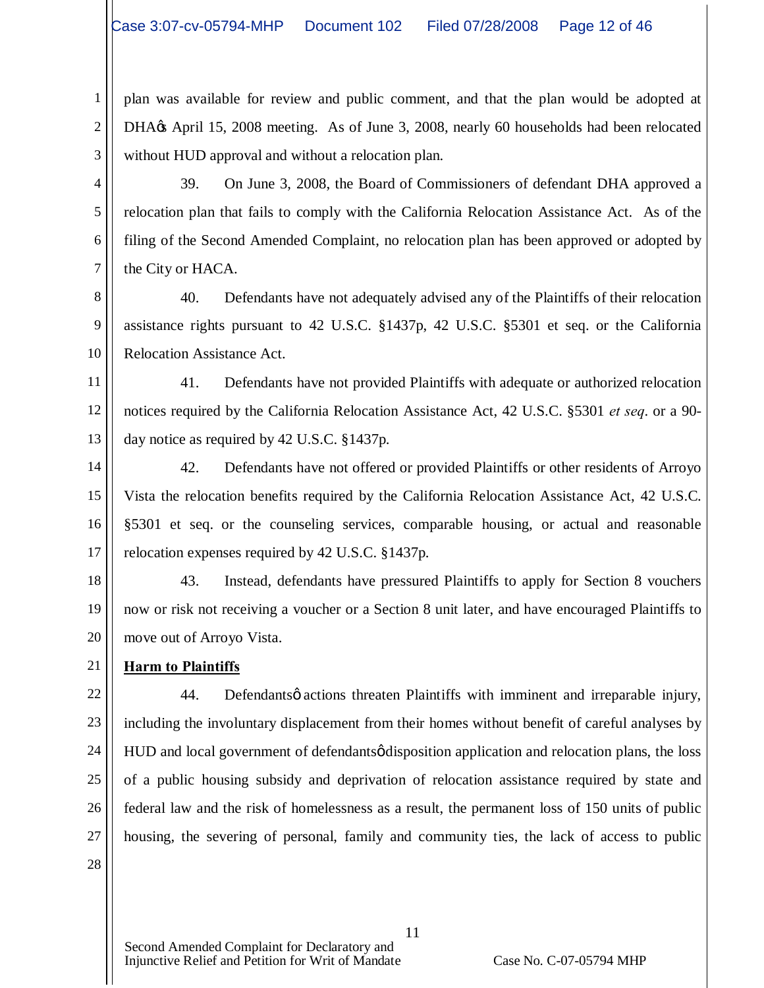1 2 3 plan was available for review and public comment, and that the plan would be adopted at DHA $\alpha$  April 15, 2008 meeting. As of June 3, 2008, nearly 60 households had been relocated without HUD approval and without a relocation plan.

4 5 6 7 39. On June 3, 2008, the Board of Commissioners of defendant DHA approved a relocation plan that fails to comply with the California Relocation Assistance Act. As of the filing of the Second Amended Complaint, no relocation plan has been approved or adopted by the City or HACA.

8 9 10 40. Defendants have not adequately advised any of the Plaintiffs of their relocation assistance rights pursuant to 42 U.S.C. §1437p, 42 U.S.C. §5301 et seq. or the California Relocation Assistance Act.

11 12 13 41. Defendants have not provided Plaintiffs with adequate or authorized relocation notices required by the California Relocation Assistance Act, 42 U.S.C. §5301 *et seq*. or a 90 day notice as required by 42 U.S.C. §1437p.

14 15 16 17 42. Defendants have not offered or provided Plaintiffs or other residents of Arroyo Vista the relocation benefits required by the California Relocation Assistance Act, 42 U.S.C. §5301 et seq. or the counseling services, comparable housing, or actual and reasonable relocation expenses required by 42 U.S.C. §1437p.

18 19 20 43. Instead, defendants have pressured Plaintiffs to apply for Section 8 vouchers now or risk not receiving a voucher or a Section 8 unit later, and have encouraged Plaintiffs to move out of Arroyo Vista.

21 **Harm to Plaintiffs**

22 23 24 25 26 27 28 44. Defendants oactions threaten Plaintiffs with imminent and irreparable injury, including the involuntary displacement from their homes without benefit of careful analyses by HUD and local government of defendants of disposition application and relocation plans, the loss of a public housing subsidy and deprivation of relocation assistance required by state and federal law and the risk of homelessness as a result, the permanent loss of 150 units of public housing, the severing of personal, family and community ties, the lack of access to public

11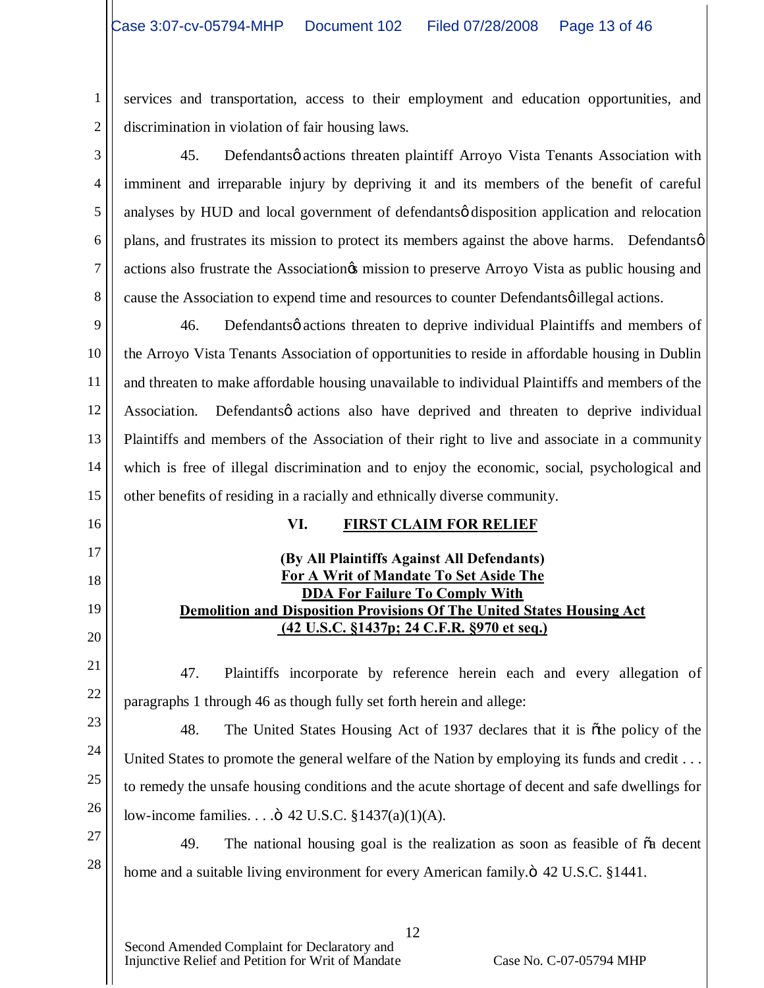1

16

17

18

19

20

21

22

2 services and transportation, access to their employment and education opportunities, and discrimination in violation of fair housing laws.

3 4 5 6 7 8 45. Defendantsø actions threaten plaintiff Arroyo Vista Tenants Association with imminent and irreparable injury by depriving it and its members of the benefit of careful analyses by HUD and local government of defendantsø disposition application and relocation plans, and frustrates its mission to protect its members against the above harms. Defendantsø actions also frustrate the Association to preserve Arroyo Vista as public housing and cause the Association to expend time and resources to counter Defendants illegal actions.

9 10 11 12 13 14 15 46. Defendantsø actions threaten to deprive individual Plaintiffs and members of the Arroyo Vista Tenants Association of opportunities to reside in affordable housing in Dublin and threaten to make affordable housing unavailable to individual Plaintiffs and members of the Association. Defendantsø actions also have deprived and threaten to deprive individual Plaintiffs and members of the Association of their right to live and associate in a community which is free of illegal discrimination and to enjoy the economic, social, psychological and other benefits of residing in a racially and ethnically diverse community.

# **VI. FIRST CLAIM FOR RELIEF**

# **(By All Plaintiffs Against All Defendants) For A Writ of Mandate To Set Aside The DDA For Failure To Comply With Demolition and Disposition Provisions Of The United States Housing Act (42 U.S.C. §1437p; 24 C.F.R. §970 et seq.)**

47. Plaintiffs incorporate by reference herein each and every allegation of paragraphs 1 through 46 as though fully set forth herein and allege:

23 24 25 26 48. The United States Housing Act of 1937 declares that it is othe policy of the United States to promote the general welfare of the Nation by employing its funds and credit . . . to remedy the unsafe housing conditions and the acute shortage of decent and safe dwellings for low-income families. . . ." 42 U.S.C. §1437(a)(1)(A).

27 28 49. The national housing goal is the realization as soon as feasible of  $\tilde{o}a$  decent home and a suitable living environment for every American family. $\ddot{\text{o}}$  42 U.S.C. §1441.

12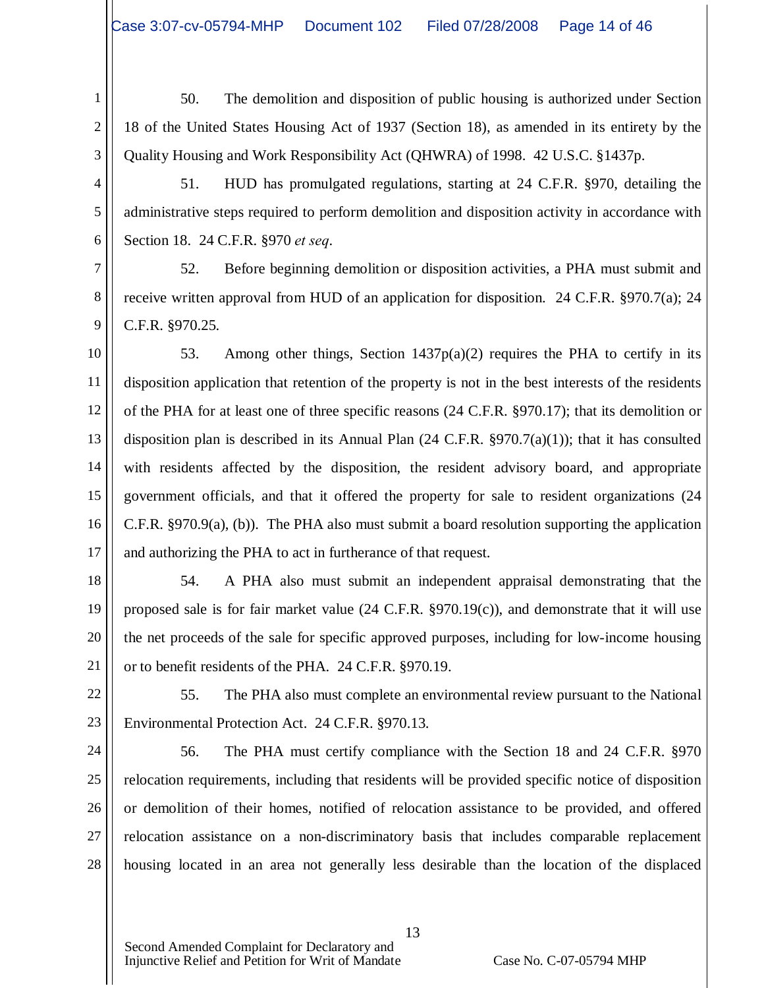1 2 3 50. The demolition and disposition of public housing is authorized under Section 18 of the United States Housing Act of 1937 (Section 18), as amended in its entirety by the Quality Housing and Work Responsibility Act (QHWRA) of 1998. 42 U.S.C. §1437p.

4 5 6 51. HUD has promulgated regulations, starting at 24 C.F.R. §970, detailing the administrative steps required to perform demolition and disposition activity in accordance with Section 18. 24 C.F.R. §970 *et seq*.

7 8 9 52. Before beginning demolition or disposition activities, a PHA must submit and receive written approval from HUD of an application for disposition. 24 C.F.R. §970.7(a); 24 C.F.R. §970.25.

10 11 12 13 14 15 16 17 53. Among other things, Section 1437 $p(a)(2)$  requires the PHA to certify in its disposition application that retention of the property is not in the best interests of the residents of the PHA for at least one of three specific reasons (24 C.F.R. §970.17); that its demolition or disposition plan is described in its Annual Plan  $(24 \text{ C.F.R. } §970.7(a)(1))$ ; that it has consulted with residents affected by the disposition, the resident advisory board, and appropriate government officials, and that it offered the property for sale to resident organizations (24 C.F.R. §970.9(a), (b)). The PHA also must submit a board resolution supporting the application and authorizing the PHA to act in furtherance of that request.

18

19

20

21

54. A PHA also must submit an independent appraisal demonstrating that the proposed sale is for fair market value (24 C.F.R. §970.19(c)), and demonstrate that it will use the net proceeds of the sale for specific approved purposes, including for low-income housing or to benefit residents of the PHA. 24 C.F.R. §970.19.

22

23

55. The PHA also must complete an environmental review pursuant to the National Environmental Protection Act. 24 C.F.R. §970.13.

24 25 26 27 28 56. The PHA must certify compliance with the Section 18 and 24 C.F.R. §970 relocation requirements, including that residents will be provided specific notice of disposition or demolition of their homes, notified of relocation assistance to be provided, and offered relocation assistance on a non-discriminatory basis that includes comparable replacement housing located in an area not generally less desirable than the location of the displaced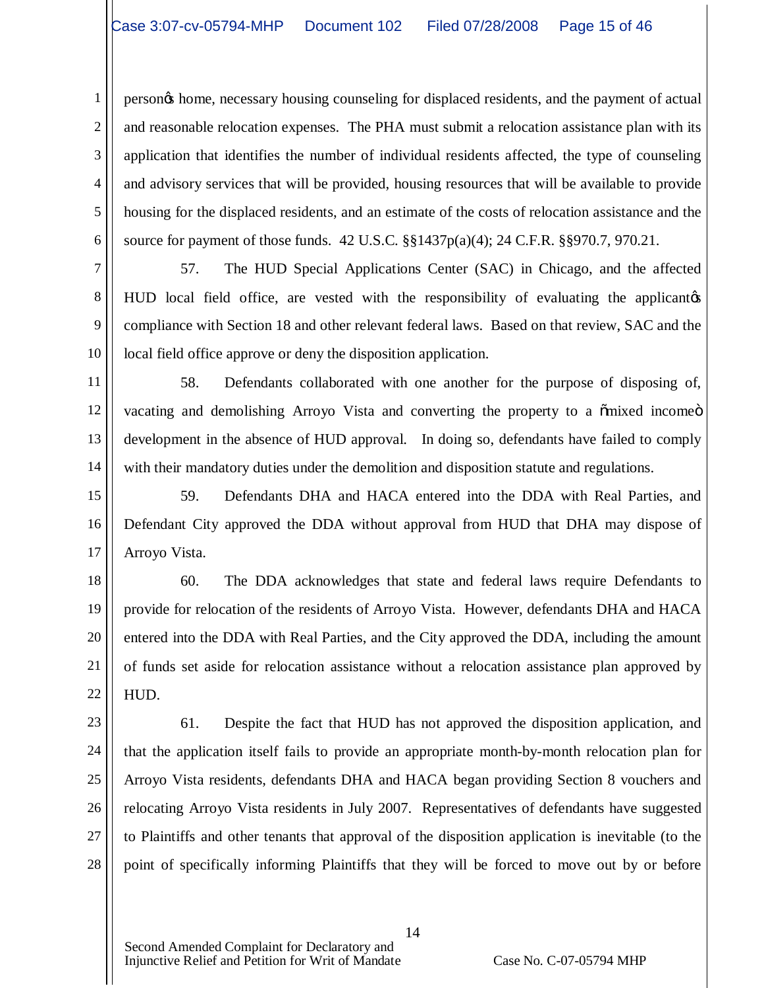1 2 3 4 5 6 person's home, necessary housing counseling for displaced residents, and the payment of actual and reasonable relocation expenses. The PHA must submit a relocation assistance plan with its application that identifies the number of individual residents affected, the type of counseling and advisory services that will be provided, housing resources that will be available to provide housing for the displaced residents, and an estimate of the costs of relocation assistance and the source for payment of those funds. 42 U.S.C. §§1437p(a)(4); 24 C.F.R. §§970.7, 970.21.

7 8 9 10 57. The HUD Special Applications Center (SAC) in Chicago, and the affected HUD local field office, are vested with the responsibility of evaluating the applicant of compliance with Section 18 and other relevant federal laws. Based on that review, SAC and the local field office approve or deny the disposition application.

11 12 13 14 58. Defendants collaborated with one another for the purpose of disposing of, vacating and demolishing Arroyo Vista and converting the property to a  $\tilde{\text{omixed}}$  income $\ddot{\text{o}}$ development in the absence of HUD approval. In doing so, defendants have failed to comply with their mandatory duties under the demolition and disposition statute and regulations.

15 16 17 59. Defendants DHA and HACA entered into the DDA with Real Parties, and Defendant City approved the DDA without approval from HUD that DHA may dispose of Arroyo Vista.

18 19 20 21 22 60. The DDA acknowledges that state and federal laws require Defendants to provide for relocation of the residents of Arroyo Vista. However, defendants DHA and HACA entered into the DDA with Real Parties, and the City approved the DDA, including the amount of funds set aside for relocation assistance without a relocation assistance plan approved by HUD.

23 24 25 26 27 28 61. Despite the fact that HUD has not approved the disposition application, and that the application itself fails to provide an appropriate month-by-month relocation plan for Arroyo Vista residents, defendants DHA and HACA began providing Section 8 vouchers and relocating Arroyo Vista residents in July 2007. Representatives of defendants have suggested to Plaintiffs and other tenants that approval of the disposition application is inevitable (to the point of specifically informing Plaintiffs that they will be forced to move out by or before

Second Amended Complaint for Declaratory and Injunctive Relief and Petition for Writ of Mandate Case No. C-07-05794 MHP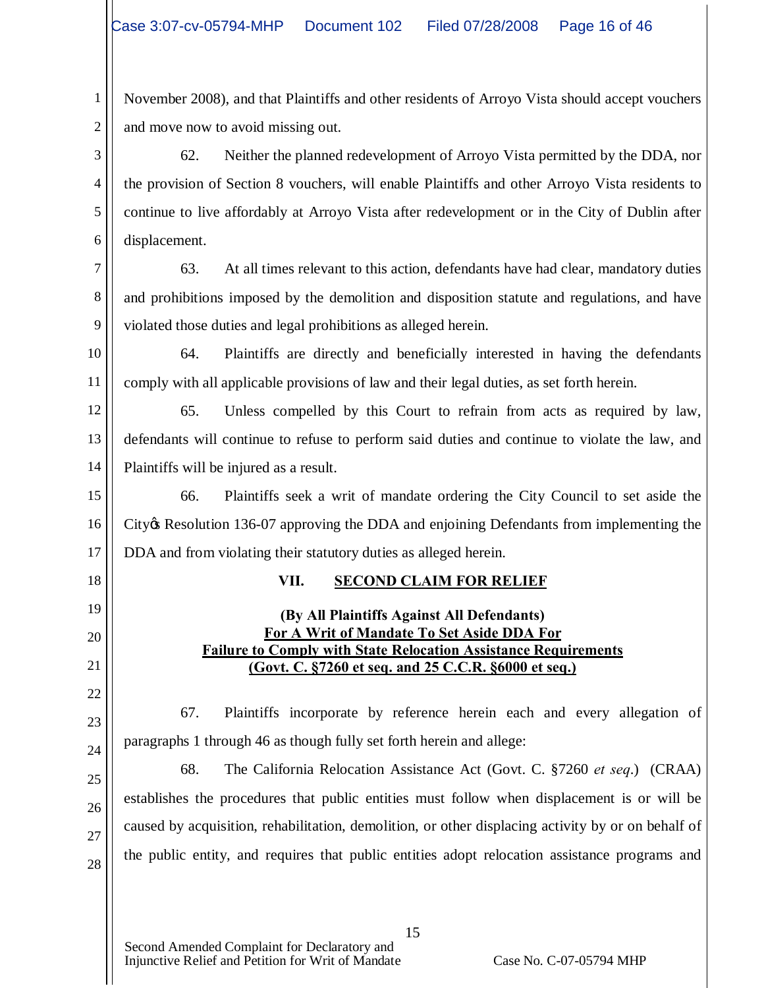1 2 November 2008), and that Plaintiffs and other residents of Arroyo Vista should accept vouchers and move now to avoid missing out.

3 4 5 6 62. Neither the planned redevelopment of Arroyo Vista permitted by the DDA, nor the provision of Section 8 vouchers, will enable Plaintiffs and other Arroyo Vista residents to continue to live affordably at Arroyo Vista after redevelopment or in the City of Dublin after displacement.

7 8 9 63. At all times relevant to this action, defendants have had clear, mandatory duties and prohibitions imposed by the demolition and disposition statute and regulations, and have violated those duties and legal prohibitions as alleged herein.

10 11 64. Plaintiffs are directly and beneficially interested in having the defendants comply with all applicable provisions of law and their legal duties, as set forth herein.

12 13 14 65. Unless compelled by this Court to refrain from acts as required by law, defendants will continue to refuse to perform said duties and continue to violate the law, and Plaintiffs will be injured as a result.

15 16 17 66. Plaintiffs seek a writ of mandate ordering the City Council to set aside the City's Resolution 136-07 approving the DDA and enjoining Defendants from implementing the DDA and from violating their statutory duties as alleged herein.

# 18

19

20

21

22

23

24

25

26

27

28

# **VII. SECOND CLAIM FOR RELIEF**

### **(By All Plaintiffs Against All Defendants) For A Writ of Mandate To Set Aside DDA For Failure to Comply with State Relocation Assistance Requirements (Govt. C. §7260 et seq. and 25 C.C.R. §6000 et seq.)**

67. Plaintiffs incorporate by reference herein each and every allegation of paragraphs 1 through 46 as though fully set forth herein and allege:

68. The California Relocation Assistance Act (Govt. C. §7260 *et seq*.) (CRAA) establishes the procedures that public entities must follow when displacement is or will be caused by acquisition, rehabilitation, demolition, or other displacing activity by or on behalf of the public entity, and requires that public entities adopt relocation assistance programs and

15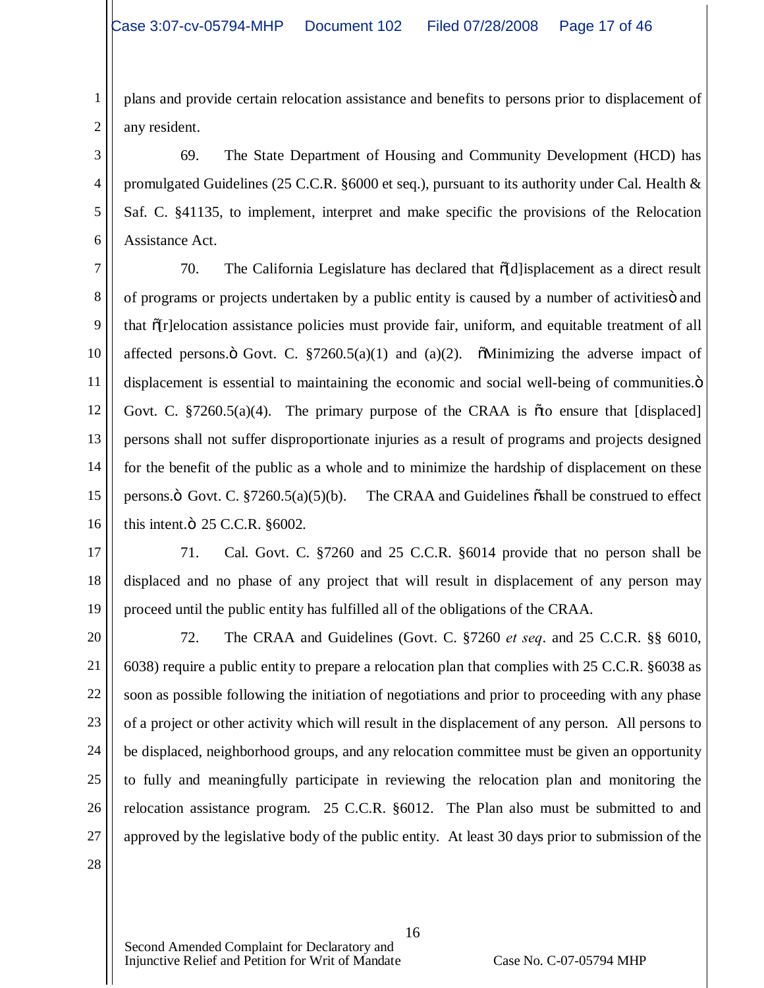1 2 plans and provide certain relocation assistance and benefits to persons prior to displacement of any resident.

3 4 5 6 69. The State Department of Housing and Community Development (HCD) has promulgated Guidelines (25 C.C.R. §6000 et seq.), pursuant to its authority under Cal. Health  $\&$ Saf. C. §41135, to implement, interpret and make specific the provisions of the Relocation Assistance Act.

7 8 9 10 11 12 13 14 15 16 70. The California Legislature has declared that  $\tilde{\theta}$ d lisplacement as a direct result of programs or projects undertaken by a public entity is caused by a number of activities" and that "[r]elocation assistance policies must provide fair, uniform, and equitable treatment of all affected persons. $\ddot{o}$  Govt. C. §7260.5(a)(1) and (a)(2).  $\ddot{o}$ Minimizing the adverse impact of displacement is essential to maintaining the economic and social well-being of communities. $\ddot{o}$ Govt. C.  $\S 7260.5(a)(4)$ . The primary purpose of the CRAA is  $\tilde{\sigma}$  to ensure that [displaced] persons shall not suffer disproportionate injuries as a result of programs and projects designed for the benefit of the public as a whole and to minimize the hardship of displacement on these persons. $\ddot{o}$  Govt. C. §7260.5(a)(5)(b). The CRAA and Guidelines  $\ddot{o}$ shall be construed to effect this intent. $\ddot{\text{o}}$  25 C.C.R. §6002.

17

18 19 71. Cal. Govt. C. §7260 and 25 C.C.R. §6014 provide that no person shall be displaced and no phase of any project that will result in displacement of any person may proceed until the public entity has fulfilled all of the obligations of the CRAA.

20 21 22 23 24 25 26 27 28 72. The CRAA and Guidelines (Govt. C. §7260 *et seq*. and 25 C.C.R. §§ 6010, 6038) require a public entity to prepare a relocation plan that complies with 25 C.C.R. §6038 as soon as possible following the initiation of negotiations and prior to proceeding with any phase of a project or other activity which will result in the displacement of any person. All persons to be displaced, neighborhood groups, and any relocation committee must be given an opportunity to fully and meaningfully participate in reviewing the relocation plan and monitoring the relocation assistance program. 25 C.C.R. §6012. The Plan also must be submitted to and approved by the legislative body of the public entity. At least 30 days prior to submission of the

16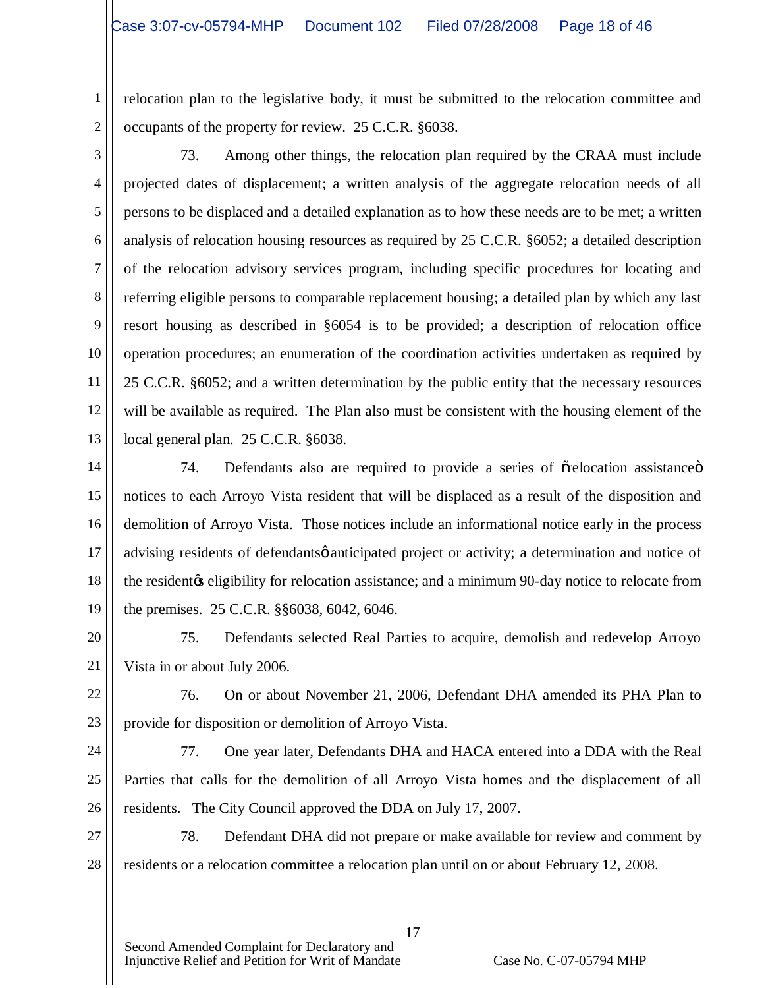2 relocation plan to the legislative body, it must be submitted to the relocation committee and occupants of the property for review. 25 C.C.R. §6038.

1

3 4 5 6 7 8 9 10 11 12 13 73. Among other things, the relocation plan required by the CRAA must include projected dates of displacement; a written analysis of the aggregate relocation needs of all persons to be displaced and a detailed explanation as to how these needs are to be met; a written analysis of relocation housing resources as required by 25 C.C.R. §6052; a detailed description of the relocation advisory services program, including specific procedures for locating and referring eligible persons to comparable replacement housing; a detailed plan by which any last resort housing as described in §6054 is to be provided; a description of relocation office operation procedures; an enumeration of the coordination activities undertaken as required by 25 C.C.R. §6052; and a written determination by the public entity that the necessary resources will be available as required. The Plan also must be consistent with the housing element of the local general plan. 25 C.C.R. §6038.

14 15 16 17 18 19 74. Defendants also are required to provide a series of  $\tilde{\sigma}$ relocation assistance  $\ddot{\sigma}$ notices to each Arroyo Vista resident that will be displaced as a result of the disposition and demolition of Arroyo Vista. Those notices include an informational notice early in the process advising residents of defendants *of anticipated project* or activity; a determination and notice of the resident of eligibility for relocation assistance; and a minimum 90-day notice to relocate from the premises. 25 C.C.R. §§6038, 6042, 6046.

20 21 75. Defendants selected Real Parties to acquire, demolish and redevelop Arroyo Vista in or about July 2006.

22 23 76. On or about November 21, 2006, Defendant DHA amended its PHA Plan to provide for disposition or demolition of Arroyo Vista.

24

25

26

77. One year later, Defendants DHA and HACA entered into a DDA with the Real Parties that calls for the demolition of all Arroyo Vista homes and the displacement of all residents. The City Council approved the DDA on July 17, 2007.

27 28 78. Defendant DHA did not prepare or make available for review and comment by residents or a relocation committee a relocation plan until on or about February 12, 2008.

17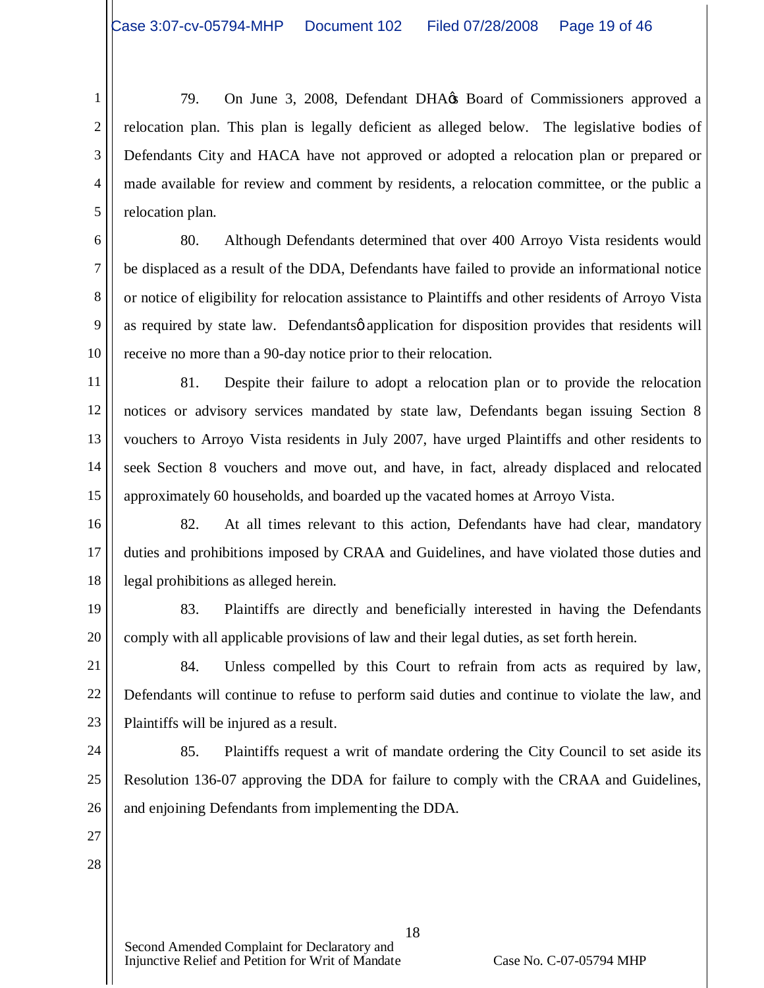1 2 3 4 5 79. On June 3, 2008, Defendant DHA $\alpha$  Board of Commissioners approved a relocation plan. This plan is legally deficient as alleged below. The legislative bodies of Defendants City and HACA have not approved or adopted a relocation plan or prepared or made available for review and comment by residents, a relocation committee, or the public a relocation plan.

6 7 8 9 10 80. Although Defendants determined that over 400 Arroyo Vista residents would be displaced as a result of the DDA, Defendants have failed to provide an informational notice or notice of eligibility for relocation assistance to Plaintiffs and other residents of Arroyo Vista as required by state law. Defendants opplication for disposition provides that residents will receive no more than a 90-day notice prior to their relocation.

11 12 13 14 15 81. Despite their failure to adopt a relocation plan or to provide the relocation notices or advisory services mandated by state law, Defendants began issuing Section 8 vouchers to Arroyo Vista residents in July 2007, have urged Plaintiffs and other residents to seek Section 8 vouchers and move out, and have, in fact, already displaced and relocated approximately 60 households, and boarded up the vacated homes at Arroyo Vista.

16 17 18 82. At all times relevant to this action, Defendants have had clear, mandatory duties and prohibitions imposed by CRAA and Guidelines, and have violated those duties and legal prohibitions as alleged herein.

19 20 83. Plaintiffs are directly and beneficially interested in having the Defendants comply with all applicable provisions of law and their legal duties, as set forth herein.

22 23 84. Unless compelled by this Court to refrain from acts as required by law, Defendants will continue to refuse to perform said duties and continue to violate the law, and Plaintiffs will be injured as a result.

24 25 26 85. Plaintiffs request a writ of mandate ordering the City Council to set aside its Resolution 136-07 approving the DDA for failure to comply with the CRAA and Guidelines, and enjoining Defendants from implementing the DDA.

27 28

21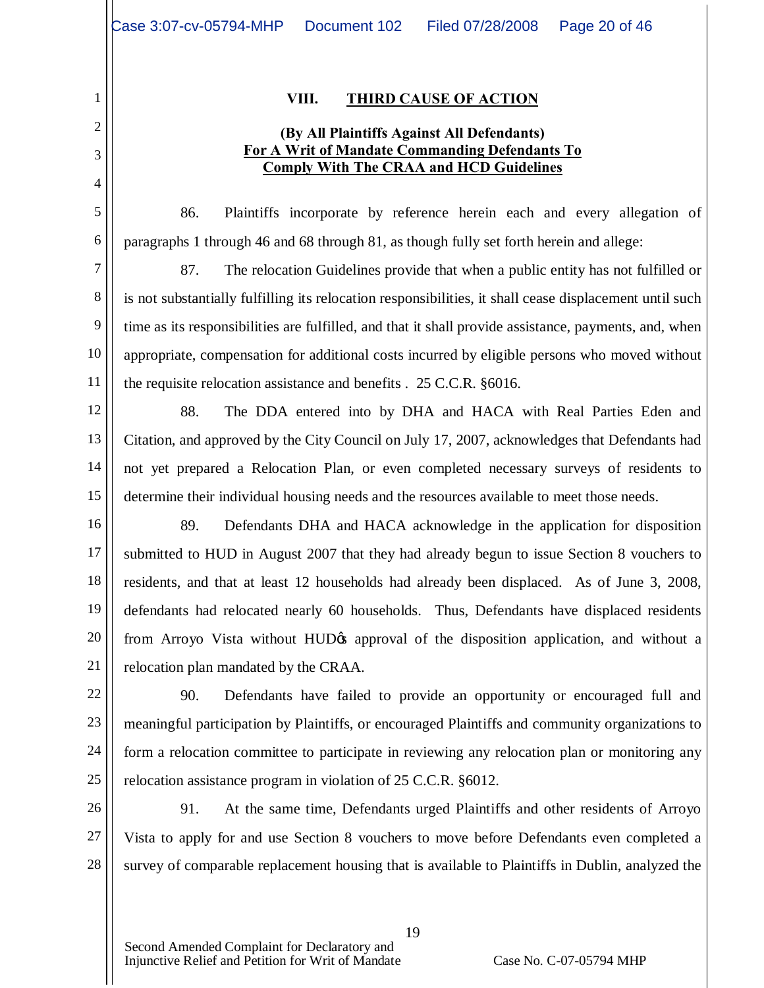1

2

3

4

5

6

8

9

10

11

#### **VIII. THIRD CAUSE OF ACTION**

### **(By All Plaintiffs Against All Defendants) For A Writ of Mandate Commanding Defendants To Comply With The CRAA and HCD Guidelines**

86. Plaintiffs incorporate by reference herein each and every allegation of paragraphs 1 through 46 and 68 through 81, as though fully set forth herein and allege:

7 87. The relocation Guidelines provide that when a public entity has not fulfilled or is not substantially fulfilling its relocation responsibilities, it shall cease displacement until such time as its responsibilities are fulfilled, and that it shall provide assistance, payments, and, when appropriate, compensation for additional costs incurred by eligible persons who moved without the requisite relocation assistance and benefits . 25 C.C.R. §6016.

12 13 14 15 88. The DDA entered into by DHA and HACA with Real Parties Eden and Citation, and approved by the City Council on July 17, 2007, acknowledges that Defendants had not yet prepared a Relocation Plan, or even completed necessary surveys of residents to determine their individual housing needs and the resources available to meet those needs.

16 17 18 19 20 21 89. Defendants DHA and HACA acknowledge in the application for disposition submitted to HUD in August 2007 that they had already begun to issue Section 8 vouchers to residents, and that at least 12 households had already been displaced. As of June 3, 2008, defendants had relocated nearly 60 households. Thus, Defendants have displaced residents from Arroyo Vista without HUD<sub>O</sub> approval of the disposition application, and without a relocation plan mandated by the CRAA.

22 23 24 25 90. Defendants have failed to provide an opportunity or encouraged full and meaningful participation by Plaintiffs, or encouraged Plaintiffs and community organizations to form a relocation committee to participate in reviewing any relocation plan or monitoring any relocation assistance program in violation of 25 C.C.R. §6012.

26 27 28 91. At the same time, Defendants urged Plaintiffs and other residents of Arroyo Vista to apply for and use Section 8 vouchers to move before Defendants even completed a survey of comparable replacement housing that is available to Plaintiffs in Dublin, analyzed the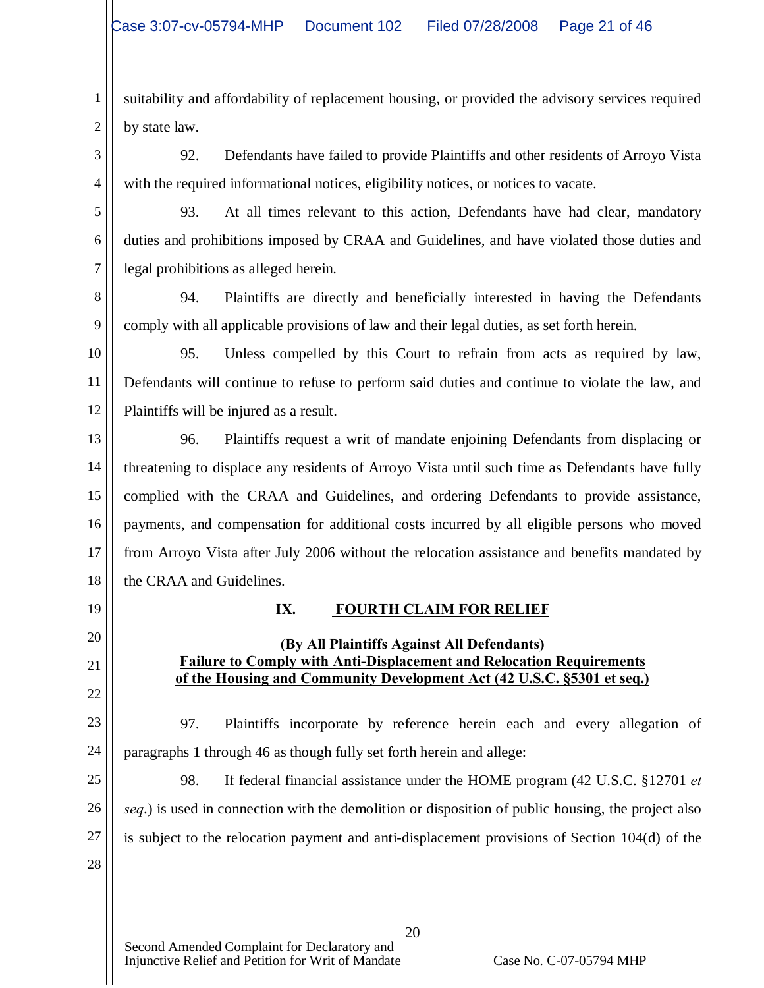1 2 suitability and affordability of replacement housing, or provided the advisory services required by state law.

3 4 92. Defendants have failed to provide Plaintiffs and other residents of Arroyo Vista with the required informational notices, eligibility notices, or notices to vacate.

5 6 7 93. At all times relevant to this action, Defendants have had clear, mandatory duties and prohibitions imposed by CRAA and Guidelines, and have violated those duties and legal prohibitions as alleged herein.

8 9 94. Plaintiffs are directly and beneficially interested in having the Defendants comply with all applicable provisions of law and their legal duties, as set forth herein.

10 11 12 95. Unless compelled by this Court to refrain from acts as required by law, Defendants will continue to refuse to perform said duties and continue to violate the law, and Plaintiffs will be injured as a result.

13 14 15 16 17 18 96. Plaintiffs request a writ of mandate enjoining Defendants from displacing or threatening to displace any residents of Arroyo Vista until such time as Defendants have fully complied with the CRAA and Guidelines, and ordering Defendants to provide assistance, payments, and compensation for additional costs incurred by all eligible persons who moved from Arroyo Vista after July 2006 without the relocation assistance and benefits mandated by the CRAA and Guidelines.

**IX. FOURTH CLAIM FOR RELIEF**

**(By All Plaintiffs Against All Defendants) Failure to Comply with Anti-Displacement and Relocation Requirements of the Housing and Community Development Act (42 U.S.C. §5301 et seq.)**

19

20

21

# 22 23

24 97. Plaintiffs incorporate by reference herein each and every allegation of paragraphs 1 through 46 as though fully set forth herein and allege:

25 26 27 28 98. If federal financial assistance under the HOME program (42 U.S.C. §12701 *et seq*.) is used in connection with the demolition or disposition of public housing, the project also is subject to the relocation payment and anti-displacement provisions of Section 104(d) of the

20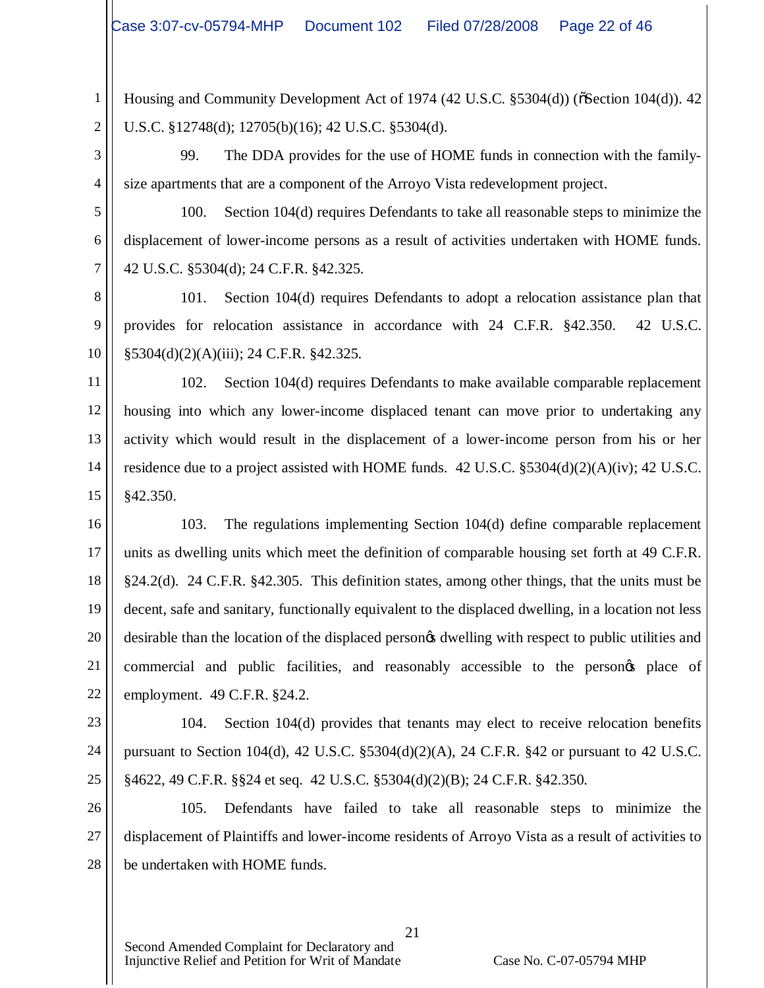1 2 Housing and Community Development Act of 1974 (42 U.S.C.  $\S 5304(d)$ ) ( $\S 582(d)$ ). 42 U.S.C. §12748(d); 12705(b)(16); 42 U.S.C. §5304(d).

3 4 99. The DDA provides for the use of HOME funds in connection with the familysize apartments that are a component of the Arroyo Vista redevelopment project.

5 6 7 100. Section 104(d) requires Defendants to take all reasonable steps to minimize the displacement of lower-income persons as a result of activities undertaken with HOME funds. 42 U.S.C. §5304(d); 24 C.F.R. §42.325.

8 9 10 101. Section 104(d) requires Defendants to adopt a relocation assistance plan that provides for relocation assistance in accordance with 24 C.F.R. §42.350. 42 U.S.C. §5304(d)(2)(A)(iii); 24 C.F.R. §42.325.

11 12 13 14 15 102. Section 104(d) requires Defendants to make available comparable replacement housing into which any lower-income displaced tenant can move prior to undertaking any activity which would result in the displacement of a lower-income person from his or her residence due to a project assisted with HOME funds. 42 U.S.C. §5304(d)(2)(A)(iv); 42 U.S.C. §42.350.

16 17 18 19 20 21 22 103. The regulations implementing Section 104(d) define comparable replacement units as dwelling units which meet the definition of comparable housing set forth at 49 C.F.R. §24.2(d). 24 C.F.R. §42.305. This definition states, among other things, that the units must be decent, safe and sanitary, functionally equivalent to the displaced dwelling, in a location not less desirable than the location of the displaced persongs dwelling with respect to public utilities and commercial and public facilities, and reasonably accessible to the personos place of employment. 49 C.F.R. §24.2.

23 24 25 104. Section 104(d) provides that tenants may elect to receive relocation benefits pursuant to Section 104(d), 42 U.S.C. §5304(d)(2)(A), 24 C.F.R. §42 or pursuant to 42 U.S.C. §4622, 49 C.F.R. §§24 et seq. 42 U.S.C. §5304(d)(2)(B); 24 C.F.R. §42.350.

26 27 28 105. Defendants have failed to take all reasonable steps to minimize the displacement of Plaintiffs and lower-income residents of Arroyo Vista as a result of activities to be undertaken with HOME funds.

21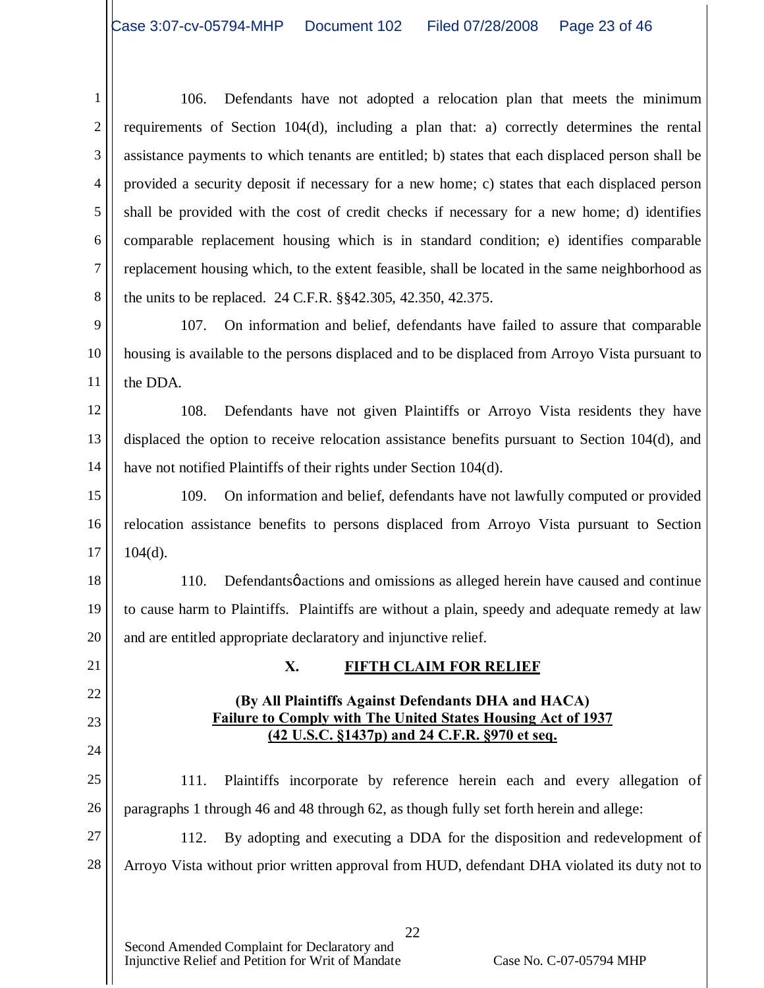1 2 3 4 5 6 7 8 106. Defendants have not adopted a relocation plan that meets the minimum requirements of Section 104(d), including a plan that: a) correctly determines the rental assistance payments to which tenants are entitled; b) states that each displaced person shall be provided a security deposit if necessary for a new home; c) states that each displaced person shall be provided with the cost of credit checks if necessary for a new home; d) identifies comparable replacement housing which is in standard condition; e) identifies comparable replacement housing which, to the extent feasible, shall be located in the same neighborhood as the units to be replaced. 24 C.F.R. §§42.305, 42.350, 42.375.

9 10 11 107. On information and belief, defendants have failed to assure that comparable housing is available to the persons displaced and to be displaced from Arroyo Vista pursuant to the DDA.

12 13 14 108. Defendants have not given Plaintiffs or Arroyo Vista residents they have displaced the option to receive relocation assistance benefits pursuant to Section 104(d), and have not notified Plaintiffs of their rights under Section 104(d).

15 16 17 109. On information and belief, defendants have not lawfully computed or provided relocation assistance benefits to persons displaced from Arroyo Vista pursuant to Section  $104(d)$ .

18 19 20 110. Defendants *ø* actions and omissions as alleged herein have caused and continue to cause harm to Plaintiffs. Plaintiffs are without a plain, speedy and adequate remedy at law and are entitled appropriate declaratory and injunctive relief.

# 21

22

23

24

# **X. FIFTH CLAIM FOR RELIEF**

### **(By All Plaintiffs Against Defendants DHA and HACA) Failure to Comply with The United States Housing Act of 1937 (42 U.S.C. §1437p) and 24 C.F.R. §970 et seq.**

25 26 111. Plaintiffs incorporate by reference herein each and every allegation of paragraphs 1 through 46 and 48 through 62, as though fully set forth herein and allege:

27 28 112. By adopting and executing a DDA for the disposition and redevelopment of Arroyo Vista without prior written approval from HUD, defendant DHA violated its duty not to

22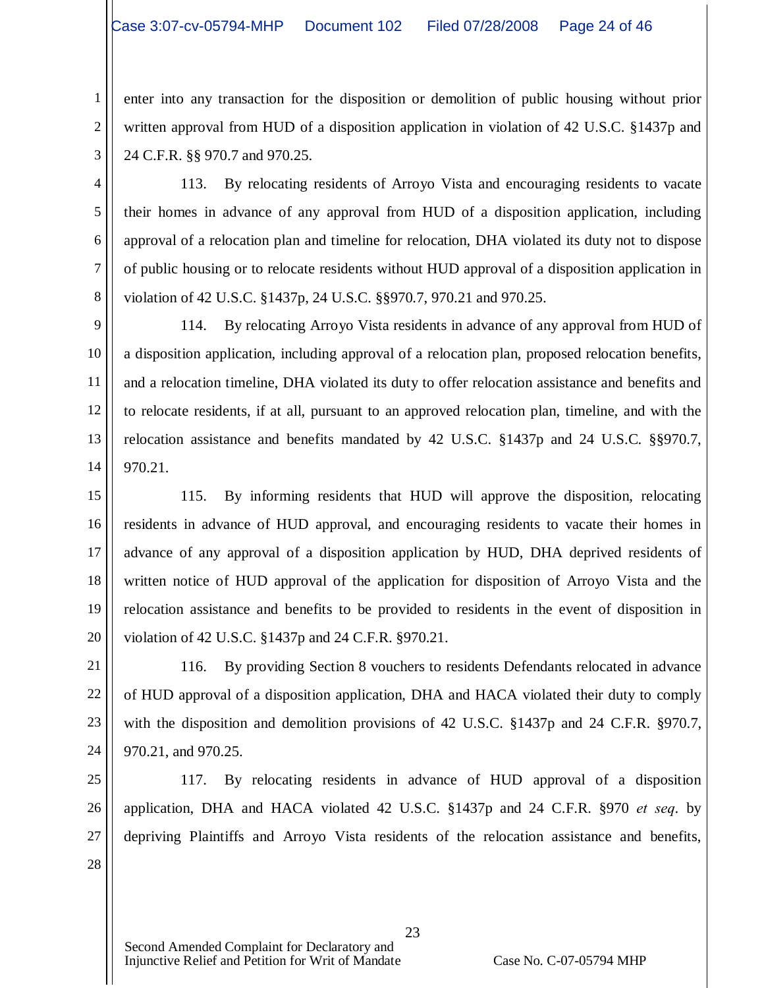enter into any transaction for the disposition or demolition of public housing without prior written approval from HUD of a disposition application in violation of 42 U.S.C. §1437p and 24 C.F.R. §§ 970.7 and 970.25.

3 4

5

6

7

8

1

2

113. By relocating residents of Arroyo Vista and encouraging residents to vacate their homes in advance of any approval from HUD of a disposition application, including approval of a relocation plan and timeline for relocation, DHA violated its duty not to dispose of public housing or to relocate residents without HUD approval of a disposition application in violation of 42 U.S.C. §1437p, 24 U.S.C. §§970.7, 970.21 and 970.25.

9 10 11 12 13 14 114. By relocating Arroyo Vista residents in advance of any approval from HUD of a disposition application, including approval of a relocation plan, proposed relocation benefits, and a relocation timeline, DHA violated its duty to offer relocation assistance and benefits and to relocate residents, if at all, pursuant to an approved relocation plan, timeline, and with the relocation assistance and benefits mandated by 42 U.S.C. §1437p and 24 U.S.C. §§970.7, 970.21.

15 16 17 18 19 20 115. By informing residents that HUD will approve the disposition, relocating residents in advance of HUD approval, and encouraging residents to vacate their homes in advance of any approval of a disposition application by HUD, DHA deprived residents of written notice of HUD approval of the application for disposition of Arroyo Vista and the relocation assistance and benefits to be provided to residents in the event of disposition in violation of 42 U.S.C. §1437p and 24 C.F.R. §970.21.

21 22 23 24 116. By providing Section 8 vouchers to residents Defendants relocated in advance of HUD approval of a disposition application, DHA and HACA violated their duty to comply with the disposition and demolition provisions of 42 U.S.C. §1437p and 24 C.F.R. §970.7, 970.21, and 970.25.

25 26 27 28 117. By relocating residents in advance of HUD approval of a disposition application, DHA and HACA violated 42 U.S.C. §1437p and 24 C.F.R. §970 *et seq*. by depriving Plaintiffs and Arroyo Vista residents of the relocation assistance and benefits,

23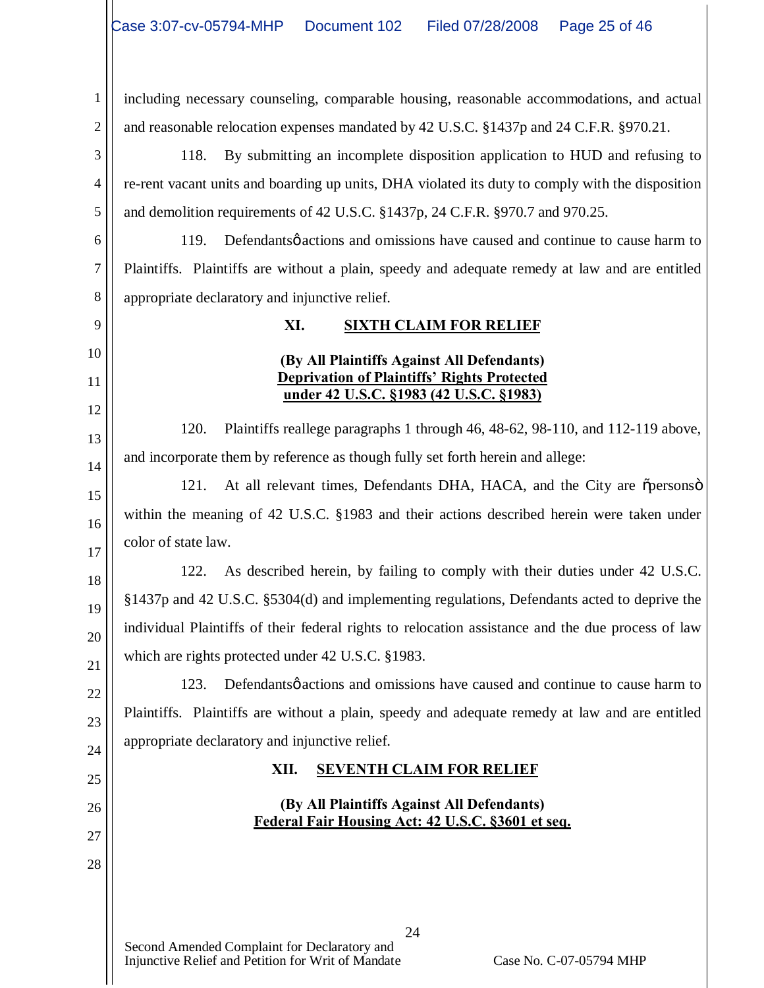1 2 including necessary counseling, comparable housing, reasonable accommodations, and actual and reasonable relocation expenses mandated by 42 U.S.C. §1437p and 24 C.F.R. §970.21.

3 4 5 118. By submitting an incomplete disposition application to HUD and refusing to re-rent vacant units and boarding up units, DHA violated its duty to comply with the disposition and demolition requirements of 42 U.S.C. §1437p, 24 C.F.R. §970.7 and 970.25.

6 7 8 119. Defendants *o* actions and omissions have caused and continue to cause harm to Plaintiffs. Plaintiffs are without a plain, speedy and adequate remedy at law and are entitled appropriate declaratory and injunctive relief.

9 10

11

12

13

14

15

16

17

18

19

20

21

22

23

24

25

26

27

28

# **XI. SIXTH CLAIM FOR RELIEF**

### **(By All Plaintiffs Against All Defendants) Deprivation of Plaintiffs' Rights Protected under 42 U.S.C. §1983 (42 U.S.C. §1983)**

120. Plaintiffs reallege paragraphs 1 through 46, 48-62, 98-110, and 112-119 above, and incorporate them by reference as though fully set forth herein and allege:

121. At all relevant times, Defendants DHA, HACA, and the City are opersonsomwithin the meaning of 42 U.S.C. §1983 and their actions described herein were taken under color of state law.

122. As described herein, by failing to comply with their duties under 42 U.S.C. §1437p and 42 U.S.C. §5304(d) and implementing regulations, Defendants acted to deprive the individual Plaintiffs of their federal rights to relocation assistance and the due process of law which are rights protected under 42 U.S.C. §1983.

123. Defendants *o* actions and omissions have caused and continue to cause harm to Plaintiffs. Plaintiffs are without a plain, speedy and adequate remedy at law and are entitled appropriate declaratory and injunctive relief.

# **XII. SEVENTH CLAIM FOR RELIEF**

### **(By All Plaintiffs Against All Defendants) Federal Fair Housing Act: 42 U.S.C. §3601 et seq.**

24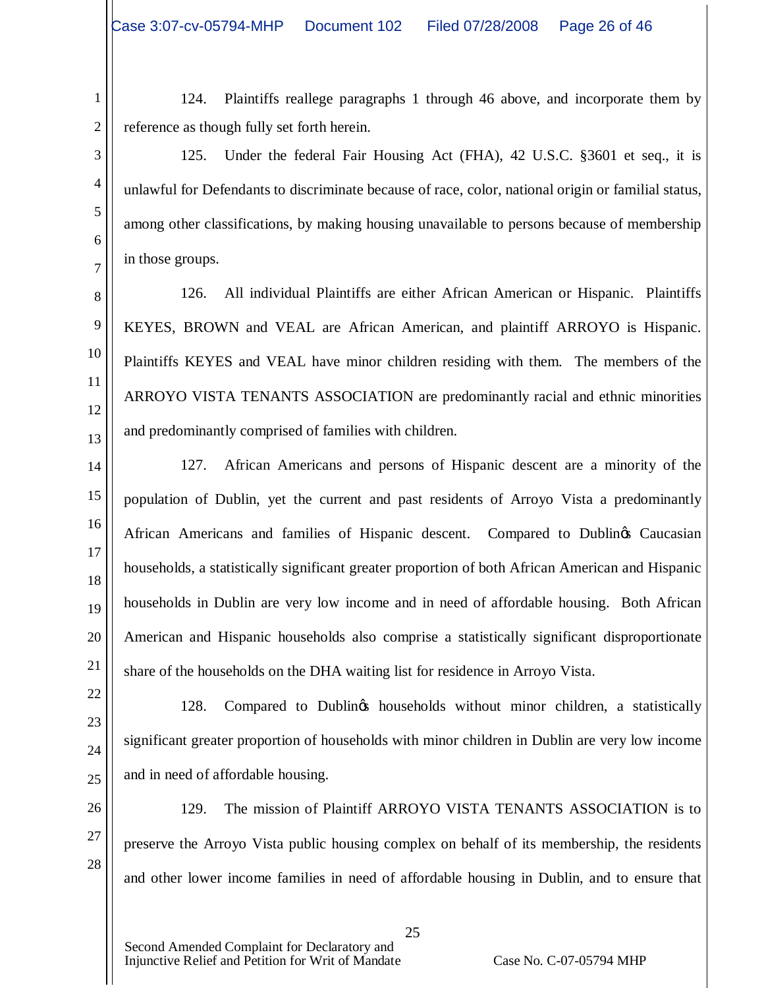1

2

3

4

5

6

7

9

11

22

23

24

25

124. Plaintiffs reallege paragraphs 1 through 46 above, and incorporate them by reference as though fully set forth herein.

125. Under the federal Fair Housing Act (FHA), 42 U.S.C. §3601 et seq., it is unlawful for Defendants to discriminate because of race, color, national origin or familial status, among other classifications, by making housing unavailable to persons because of membership in those groups.

8 10 12 13 126. All individual Plaintiffs are either African American or Hispanic. Plaintiffs KEYES, BROWN and VEAL are African American, and plaintiff ARROYO is Hispanic. Plaintiffs KEYES and VEAL have minor children residing with them. The members of the ARROYO VISTA TENANTS ASSOCIATION are predominantly racial and ethnic minorities and predominantly comprised of families with children.

14 15 16 17 18 19 20 21 127. African Americans and persons of Hispanic descent are a minority of the population of Dublin, yet the current and past residents of Arroyo Vista a predominantly African Americans and families of Hispanic descent. Compared to Dublings Caucasian households, a statistically significant greater proportion of both African American and Hispanic households in Dublin are very low income and in need of affordable housing. Both African American and Hispanic households also comprise a statistically significant disproportionate share of the households on the DHA waiting list for residence in Arroyo Vista.

128. Compared to Dublings households without minor children, a statistically significant greater proportion of households with minor children in Dublin are very low income and in need of affordable housing.

26 27 28 129. The mission of Plaintiff ARROYO VISTA TENANTS ASSOCIATION is to preserve the Arroyo Vista public housing complex on behalf of its membership, the residents and other lower income families in need of affordable housing in Dublin, and to ensure that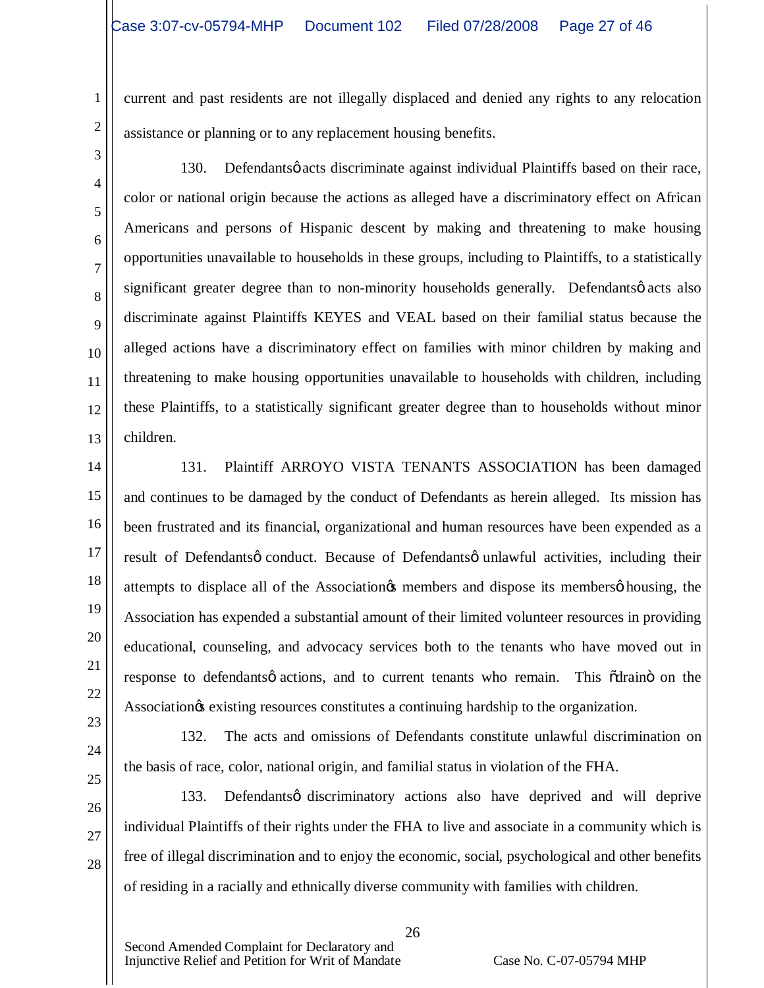current and past residents are not illegally displaced and denied any rights to any relocation assistance or planning or to any replacement housing benefits.

3 4

5

6

7

8

9

10

11

12

13

1

2

130. Defendantsø acts discriminate against individual Plaintiffs based on their race, color or national origin because the actions as alleged have a discriminatory effect on African Americans and persons of Hispanic descent by making and threatening to make housing opportunities unavailable to households in these groups, including to Plaintiffs, to a statistically significant greater degree than to non-minority households generally. Defendantsø acts also discriminate against Plaintiffs KEYES and VEAL based on their familial status because the alleged actions have a discriminatory effect on families with minor children by making and threatening to make housing opportunities unavailable to households with children, including these Plaintiffs, to a statistically significant greater degree than to households without minor children.

14

15

16

17

18

19

20

21

22

131. Plaintiff ARROYO VISTA TENANTS ASSOCIATION has been damaged and continues to be damaged by the conduct of Defendants as herein alleged. Its mission has been frustrated and its financial, organizational and human resources have been expended as a result of Defendants occonduct. Because of Defendants ounlawful activities, including their attempts to displace all of the Association<sub>os</sub> members and dispose its members  $\phi$  housing, the Association has expended a substantial amount of their limited volunteer resources in providing educational, counseling, and advocacy services both to the tenants who have moved out in response to defendants *q* actions, and to current tenants who remain. This  $\tilde{\alpha}$ draino on the Association<sub>g</sub> existing resources constitutes a continuing hardship to the organization.

23 24 25

26

27

28

132. The acts and omissions of Defendants constitute unlawful discrimination on the basis of race, color, national origin, and familial status in violation of the FHA.

133. Defendantsø discriminatory actions also have deprived and will deprive individual Plaintiffs of their rights under the FHA to live and associate in a community which is free of illegal discrimination and to enjoy the economic, social, psychological and other benefits of residing in a racially and ethnically diverse community with families with children.

26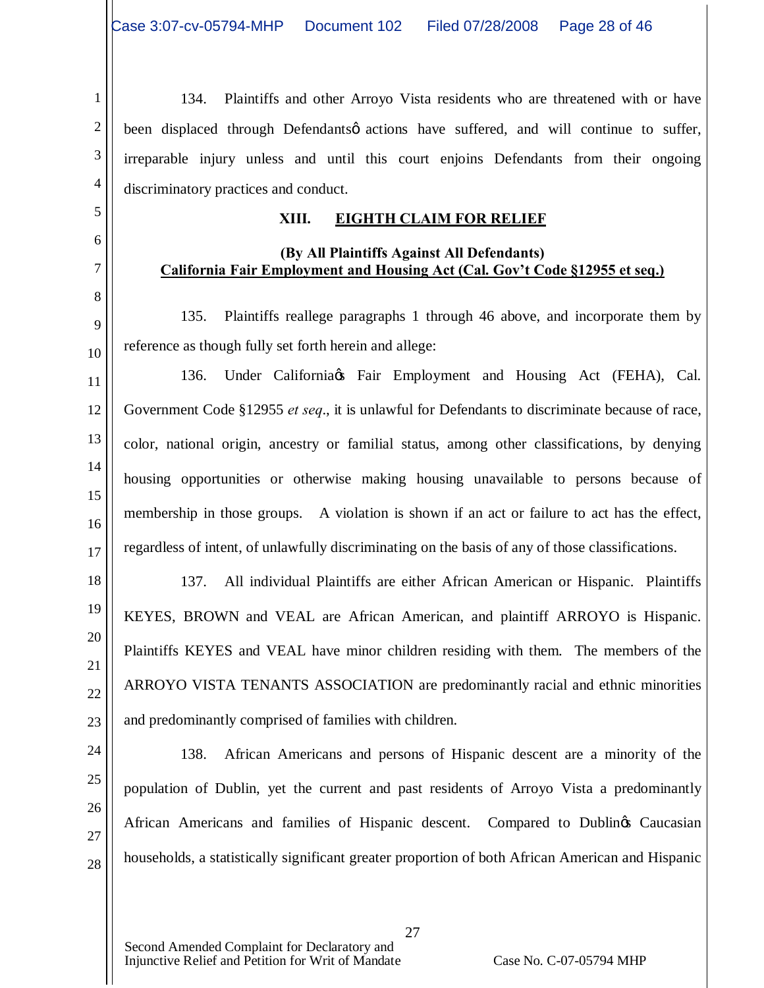1 2 3 4 134. Plaintiffs and other Arroyo Vista residents who are threatened with or have been displaced through Defendants o actions have suffered, and will continue to suffer, irreparable injury unless and until this court enjoins Defendants from their ongoing discriminatory practices and conduct.

### **XIII. EIGHTH CLAIM FOR RELIEF**

### **(By All Plaintiffs Against All Defendants) California Fair Employment and Housing Act (Cal. Gov't Code §12955 et seq.)**

135. Plaintiffs reallege paragraphs 1 through 46 above, and incorporate them by reference as though fully set forth herein and allege:

12 13 14 15 16 17 136. Under California & Fair Employment and Housing Act (FEHA), Cal. Government Code §12955 *et seq*., it is unlawful for Defendants to discriminate because of race, color, national origin, ancestry or familial status, among other classifications, by denying housing opportunities or otherwise making housing unavailable to persons because of membership in those groups. A violation is shown if an act or failure to act has the effect, regardless of intent, of unlawfully discriminating on the basis of any of those classifications.

137. All individual Plaintiffs are either African American or Hispanic. Plaintiffs KEYES, BROWN and VEAL are African American, and plaintiff ARROYO is Hispanic. Plaintiffs KEYES and VEAL have minor children residing with them. The members of the ARROYO VISTA TENANTS ASSOCIATION are predominantly racial and ethnic minorities and predominantly comprised of families with children.

24 25 26

27

28

18

19

20

21

22

23

5

6

7

8

9

10

11

138. African Americans and persons of Hispanic descent are a minority of the population of Dublin, yet the current and past residents of Arroyo Vista a predominantly African Americans and families of Hispanic descent. Compared to Dublings Caucasian households, a statistically significant greater proportion of both African American and Hispanic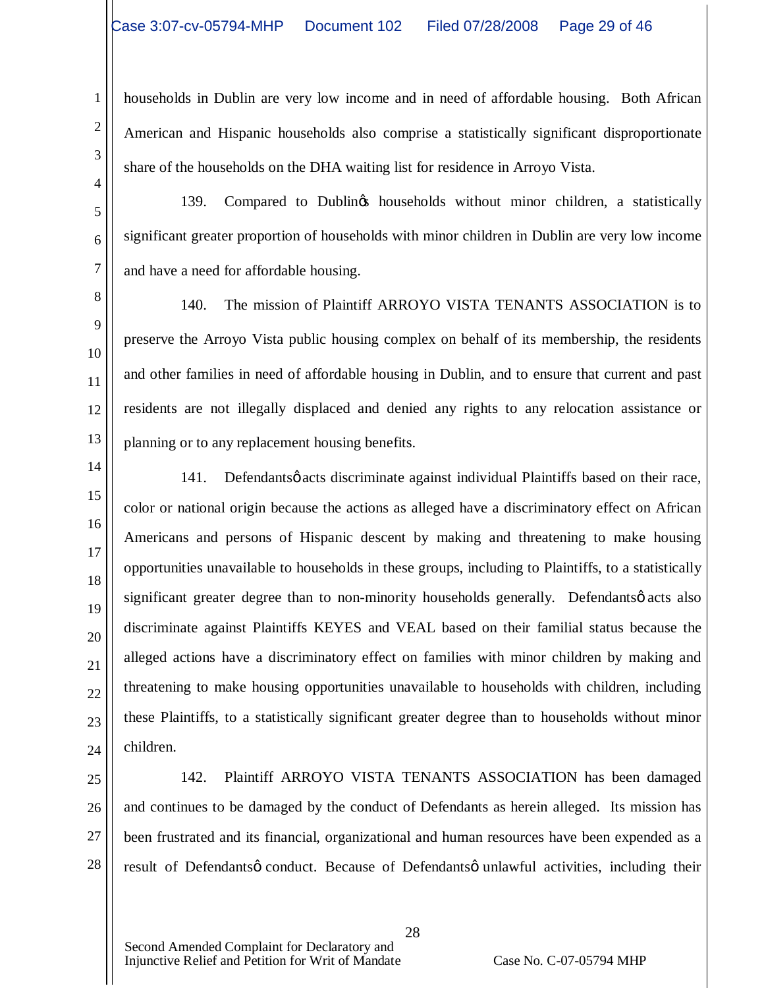1

2

3

4

5

6

7

8

9

10

11

12

13

14

15

16

17

18

19

20

21

22

23

24

households in Dublin are very low income and in need of affordable housing. Both African American and Hispanic households also comprise a statistically significant disproportionate share of the households on the DHA waiting list for residence in Arroyo Vista.

139. Compared to Dublin's households without minor children, a statistically significant greater proportion of households with minor children in Dublin are very low income and have a need for affordable housing.

140. The mission of Plaintiff ARROYO VISTA TENANTS ASSOCIATION is to preserve the Arroyo Vista public housing complex on behalf of its membership, the residents and other families in need of affordable housing in Dublin, and to ensure that current and past residents are not illegally displaced and denied any rights to any relocation assistance or planning or to any replacement housing benefits.

- 141. Defendantsø acts discriminate against individual Plaintiffs based on their race, color or national origin because the actions as alleged have a discriminatory effect on African Americans and persons of Hispanic descent by making and threatening to make housing opportunities unavailable to households in these groups, including to Plaintiffs, to a statistically significant greater degree than to non-minority households generally. Defendants acts also discriminate against Plaintiffs KEYES and VEAL based on their familial status because the alleged actions have a discriminatory effect on families with minor children by making and threatening to make housing opportunities unavailable to households with children, including these Plaintiffs, to a statistically significant greater degree than to households without minor children.
- 25 26 27 28 142. Plaintiff ARROYO VISTA TENANTS ASSOCIATION has been damaged and continues to be damaged by the conduct of Defendants as herein alleged. Its mission has been frustrated and its financial, organizational and human resources have been expended as a result of Defendantsø conduct. Because of Defendantsø unlawful activities, including their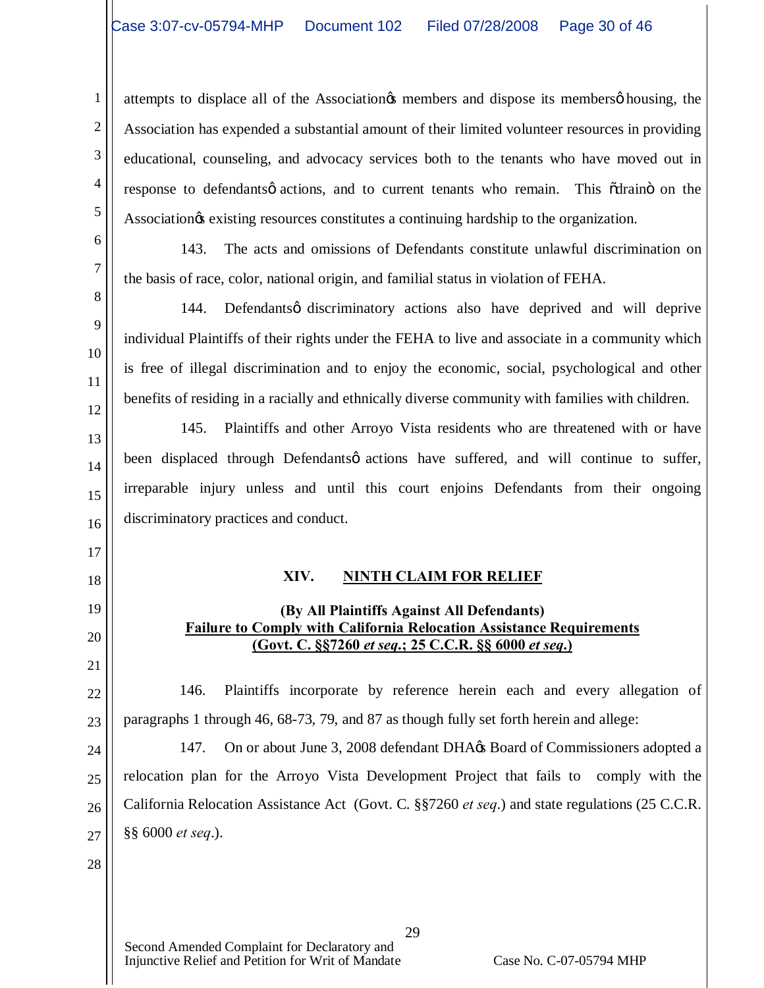attempts to displace all of the Association is members and dispose its members of housing, the Association has expended a substantial amount of their limited volunteer resources in providing educational, counseling, and advocacy services both to the tenants who have moved out in response to defendants o actions, and to current tenants who remain. This  $\tilde{\alpha}$ drain $\tilde{\alpha}$  on the Association<sub>g</sub> existing resources constitutes a continuing hardship to the organization.

10

11

12

13

14

15

16

17

18

19

20

21

22

23

1

2

3

4

5

143. The acts and omissions of Defendants constitute unlawful discrimination on the basis of race, color, national origin, and familial status in violation of FEHA.

144. Defendantsø discriminatory actions also have deprived and will deprive individual Plaintiffs of their rights under the FEHA to live and associate in a community which is free of illegal discrimination and to enjoy the economic, social, psychological and other benefits of residing in a racially and ethnically diverse community with families with children.

145. Plaintiffs and other Arroyo Vista residents who are threatened with or have been displaced through Defendantsø actions have suffered, and will continue to suffer, irreparable injury unless and until this court enjoins Defendants from their ongoing discriminatory practices and conduct.

# **XIV. NINTH CLAIM FOR RELIEF**

# **(By All Plaintiffs Against All Defendants) Failure to Comply with California Relocation Assistance Requirements (Govt. C. §§7260** *et seq***.; 25 C.C.R. §§ 6000** *et seq***.)**

146. Plaintiffs incorporate by reference herein each and every allegation of paragraphs 1 through 46, 68-73, 79, and 87 as though fully set forth herein and allege:

24 25 26 27 147. On or about June 3, 2008 defendant DHA $\alpha$  Board of Commissioners adopted a relocation plan for the Arroyo Vista Development Project that fails to comply with the California Relocation Assistance Act (Govt. C. §§7260 *et seq*.) and state regulations (25 C.C.R. §§ 6000 *et seq*.).

28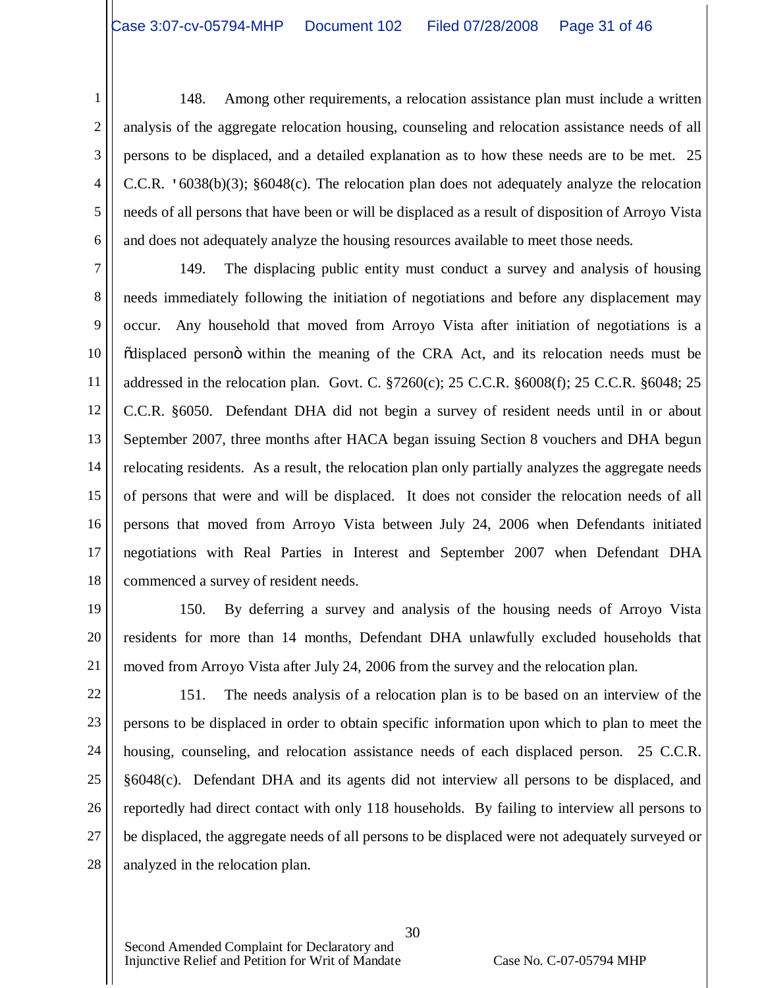1 2 3 4 5 6 148. Among other requirements, a relocation assistance plan must include a written analysis of the aggregate relocation housing, counseling and relocation assistance needs of all persons to be displaced, and a detailed explanation as to how these needs are to be met. 25 C.C.R. '6038(b)(3); §6048(c). The relocation plan does not adequately analyze the relocation needs of all persons that have been or will be displaced as a result of disposition of Arroyo Vista and does not adequately analyze the housing resources available to meet those needs.

7 8 9 10 11 12 13 14 15 16 17 18 149. The displacing public entity must conduct a survey and analysis of housing needs immediately following the initiation of negotiations and before any displacement may occur. Any household that moved from Arroyo Vista after initiation of negotiations is a  $\ddot{\text{o}}$ displaced person $\ddot{\text{o}}$  within the meaning of the CRA Act, and its relocation needs must be addressed in the relocation plan. Govt. C. §7260(c); 25 C.C.R. §6008(f); 25 C.C.R. §6048; 25 C.C.R. §6050. Defendant DHA did not begin a survey of resident needs until in or about September 2007, three months after HACA began issuing Section 8 vouchers and DHA begun relocating residents. As a result, the relocation plan only partially analyzes the aggregate needs of persons that were and will be displaced. It does not consider the relocation needs of all persons that moved from Arroyo Vista between July 24, 2006 when Defendants initiated negotiations with Real Parties in Interest and September 2007 when Defendant DHA commenced a survey of resident needs.

19 20 21 150. By deferring a survey and analysis of the housing needs of Arroyo Vista residents for more than 14 months, Defendant DHA unlawfully excluded households that moved from Arroyo Vista after July 24, 2006 from the survey and the relocation plan.

22 23 24 25 26 27 28 151. The needs analysis of a relocation plan is to be based on an interview of the persons to be displaced in order to obtain specific information upon which to plan to meet the housing, counseling, and relocation assistance needs of each displaced person. 25 C.C.R. §6048(c). Defendant DHA and its agents did not interview all persons to be displaced, and reportedly had direct contact with only 118 households. By failing to interview all persons to be displaced, the aggregate needs of all persons to be displaced were not adequately surveyed or analyzed in the relocation plan.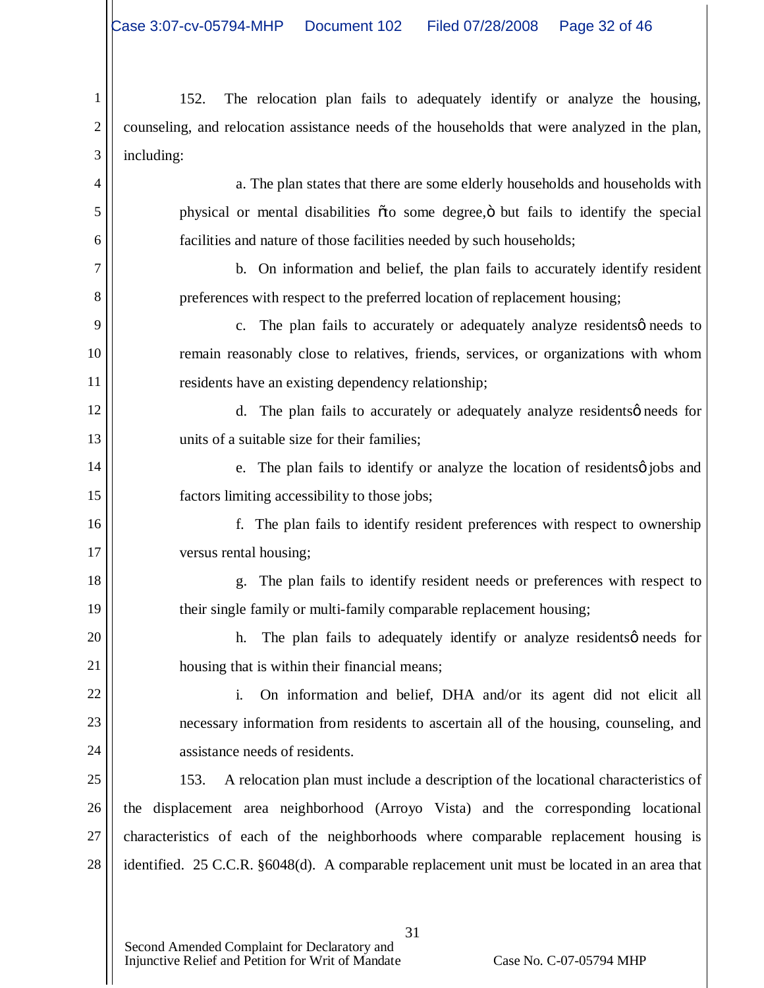1 2 3 152. The relocation plan fails to adequately identify or analyze the housing, counseling, and relocation assistance needs of the households that were analyzed in the plan, including:

4

5

6

7

8

9

10

11

12

13

14

15

16

17

18

19

20

21

a. The plan states that there are some elderly households and households with physical or mental disabilities  $\tilde{o}$  to some degree, $\ddot{o}$  but fails to identify the special facilities and nature of those facilities needed by such households;

b. On information and belief, the plan fails to accurately identify resident preferences with respect to the preferred location of replacement housing;

c. The plan fails to accurately or adequately analyze residents  $\phi$  needs to remain reasonably close to relatives, friends, services, or organizations with whom residents have an existing dependency relationship;

d. The plan fails to accurately or adequately analyze residents  $\phi$  needs for units of a suitable size for their families;

e. The plan fails to identify or analyze the location of residents o jobs and factors limiting accessibility to those jobs;

f. The plan fails to identify resident preferences with respect to ownership versus rental housing;

g. The plan fails to identify resident needs or preferences with respect to their single family or multi-family comparable replacement housing;

h. The plan fails to adequately identify or analyze residents  $\phi$  needs for housing that is within their financial means;

22 23 24 i. On information and belief, DHA and/or its agent did not elicit all necessary information from residents to ascertain all of the housing, counseling, and assistance needs of residents.

25 26 27 28 153. A relocation plan must include a description of the locational characteristics of the displacement area neighborhood (Arroyo Vista) and the corresponding locational characteristics of each of the neighborhoods where comparable replacement housing is identified. 25 C.C.R. §6048(d). A comparable replacement unit must be located in an area that

31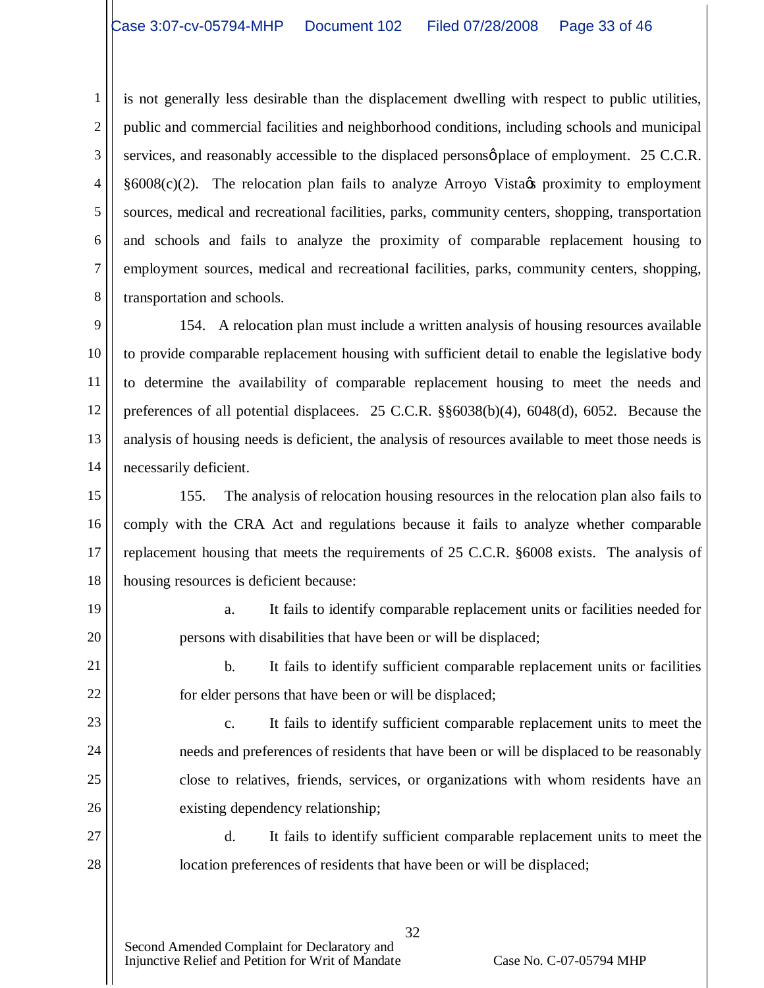1 2 3 4 5 6 7 8 is not generally less desirable than the displacement dwelling with respect to public utilities, public and commercial facilities and neighborhood conditions, including schools and municipal services, and reasonably accessible to the displaced persons  $\phi$  place of employment. 25 C.C.R.  $§6008(c)(2)$ . The relocation plan fails to analyze Arroyo Vista $\alpha$  proximity to employment sources, medical and recreational facilities, parks, community centers, shopping, transportation and schools and fails to analyze the proximity of comparable replacement housing to employment sources, medical and recreational facilities, parks, community centers, shopping, transportation and schools.

9 10 11 12 13 14 154. A relocation plan must include a written analysis of housing resources available to provide comparable replacement housing with sufficient detail to enable the legislative body to determine the availability of comparable replacement housing to meet the needs and preferences of all potential displacees. 25 C.C.R. §§6038(b)(4), 6048(d), 6052. Because the analysis of housing needs is deficient, the analysis of resources available to meet those needs is necessarily deficient.

15 16 17 18 155. The analysis of relocation housing resources in the relocation plan also fails to comply with the CRA Act and regulations because it fails to analyze whether comparable replacement housing that meets the requirements of 25 C.C.R. §6008 exists. The analysis of housing resources is deficient because:

a. It fails to identify comparable replacement units or facilities needed for persons with disabilities that have been or will be displaced;

b. It fails to identify sufficient comparable replacement units or facilities for elder persons that have been or will be displaced;

c. It fails to identify sufficient comparable replacement units to meet the needs and preferences of residents that have been or will be displaced to be reasonably close to relatives, friends, services, or organizations with whom residents have an existing dependency relationship;

27 28 d. It fails to identify sufficient comparable replacement units to meet the location preferences of residents that have been or will be displaced;

32

19

20

21

22

23

24

25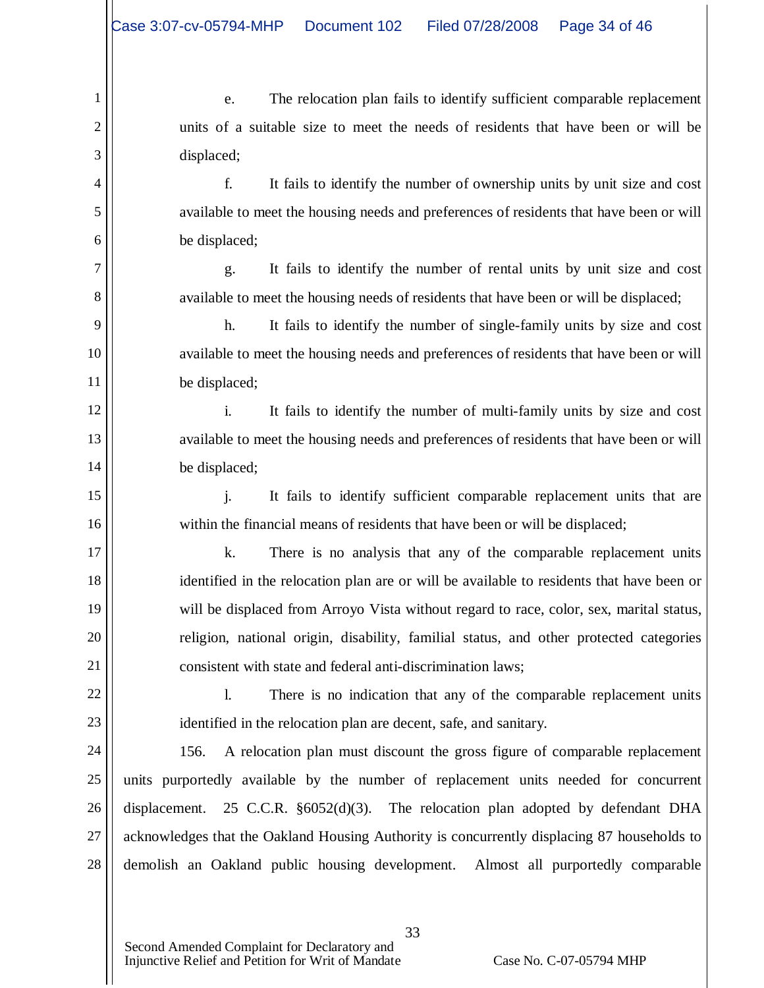1

2

3

4

5

6

7

8

9

10

11

12

13

14

15

16

17

18

19

20

21

22

23

e. The relocation plan fails to identify sufficient comparable replacement units of a suitable size to meet the needs of residents that have been or will be displaced;

f. It fails to identify the number of ownership units by unit size and cost available to meet the housing needs and preferences of residents that have been or will be displaced;

g. It fails to identify the number of rental units by unit size and cost available to meet the housing needs of residents that have been or will be displaced;

h. It fails to identify the number of single-family units by size and cost available to meet the housing needs and preferences of residents that have been or will be displaced;

i. It fails to identify the number of multi-family units by size and cost available to meet the housing needs and preferences of residents that have been or will be displaced;

j. It fails to identify sufficient comparable replacement units that are within the financial means of residents that have been or will be displaced;

k. There is no analysis that any of the comparable replacement units identified in the relocation plan are or will be available to residents that have been or will be displaced from Arroyo Vista without regard to race, color, sex, marital status, religion, national origin, disability, familial status, and other protected categories consistent with state and federal anti-discrimination laws;

l. There is no indication that any of the comparable replacement units identified in the relocation plan are decent, safe, and sanitary.

24 25 26 27 28 156. A relocation plan must discount the gross figure of comparable replacement units purportedly available by the number of replacement units needed for concurrent displacement. 25 C.C.R. §6052(d)(3). The relocation plan adopted by defendant DHA acknowledges that the Oakland Housing Authority is concurrently displacing 87 households to demolish an Oakland public housing development. Almost all purportedly comparable

33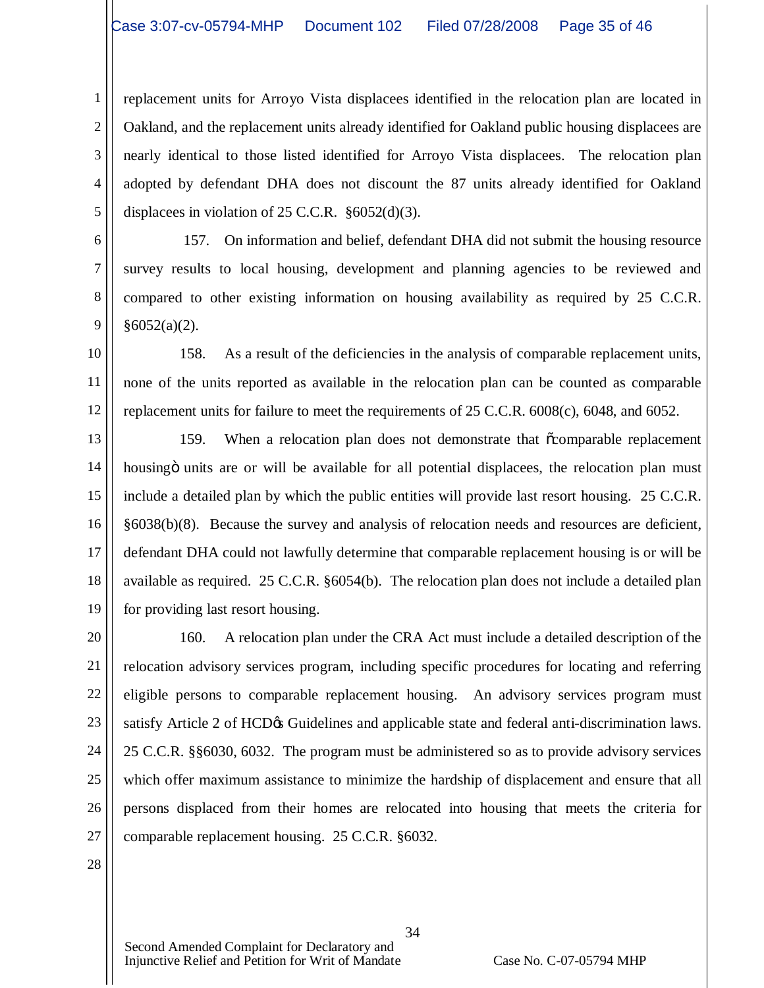1 2 3 4 5 replacement units for Arroyo Vista displacees identified in the relocation plan are located in Oakland, and the replacement units already identified for Oakland public housing displacees are nearly identical to those listed identified for Arroyo Vista displacees. The relocation plan adopted by defendant DHA does not discount the 87 units already identified for Oakland displacees in violation of 25 C.C.R. §6052(d)(3).

6 7 8 9 157. On information and belief, defendant DHA did not submit the housing resource survey results to local housing, development and planning agencies to be reviewed and compared to other existing information on housing availability as required by 25 C.C.R.  $§6052(a)(2)$ .

10 11 12 158. As a result of the deficiencies in the analysis of comparable replacement units, none of the units reported as available in the relocation plan can be counted as comparable replacement units for failure to meet the requirements of 25 C.C.R. 6008(c), 6048, and 6052.

13 14 15 16 17 18 19 159. When a relocation plan does not demonstrate that  $\tilde{\text{c}}$ comparable replacement housing in units are or will be available for all potential displacees, the relocation plan must include a detailed plan by which the public entities will provide last resort housing. 25 C.C.R. §6038(b)(8). Because the survey and analysis of relocation needs and resources are deficient, defendant DHA could not lawfully determine that comparable replacement housing is or will be available as required. 25 C.C.R. §6054(b). The relocation plan does not include a detailed plan for providing last resort housing.

20 21 22 23 24 25 26 27 160. A relocation plan under the CRA Act must include a detailed description of the relocation advisory services program, including specific procedures for locating and referring eligible persons to comparable replacement housing. An advisory services program must satisfy Article 2 of HCD $\alpha$  Guidelines and applicable state and federal anti-discrimination laws. 25 C.C.R. §§6030, 6032. The program must be administered so as to provide advisory services which offer maximum assistance to minimize the hardship of displacement and ensure that all persons displaced from their homes are relocated into housing that meets the criteria for comparable replacement housing. 25 C.C.R. §6032.

28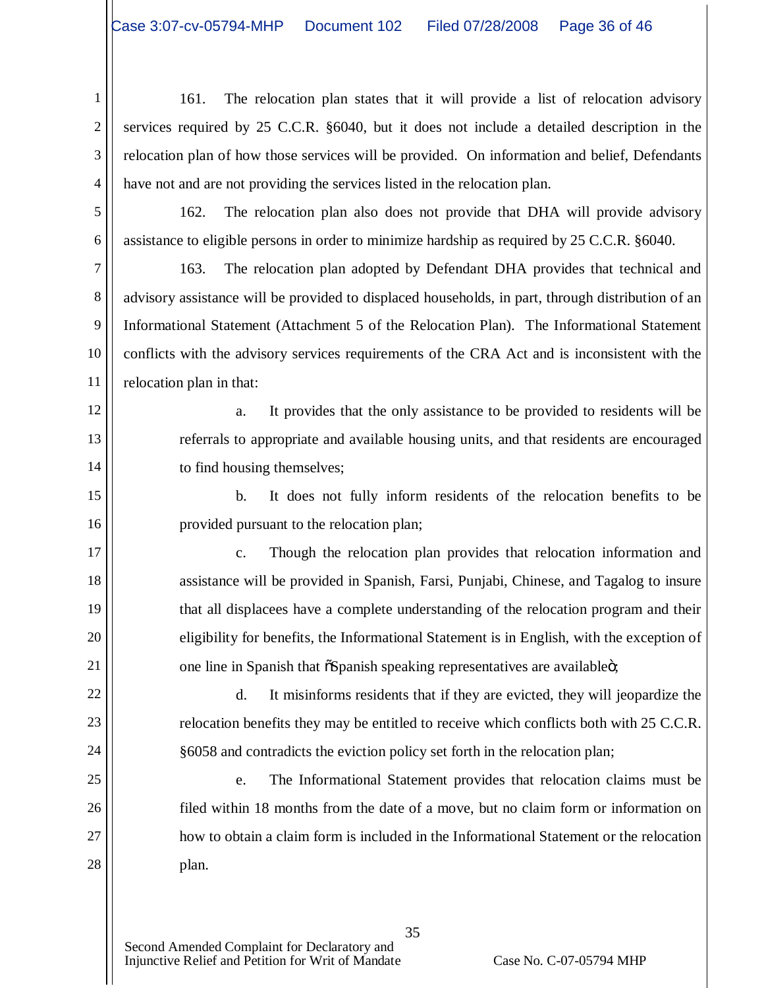1 2 3 4 161. The relocation plan states that it will provide a list of relocation advisory services required by 25 C.C.R. §6040, but it does not include a detailed description in the relocation plan of how those services will be provided. On information and belief, Defendants have not and are not providing the services listed in the relocation plan.

5

6

12

13

14

15

16

17

18

19

20

21

22

23

24

25

26

27

28

162. The relocation plan also does not provide that DHA will provide advisory assistance to eligible persons in order to minimize hardship as required by 25 C.C.R. §6040.

7 8 9 10 11 163. The relocation plan adopted by Defendant DHA provides that technical and advisory assistance will be provided to displaced households, in part, through distribution of an Informational Statement (Attachment 5 of the Relocation Plan). The Informational Statement conflicts with the advisory services requirements of the CRA Act and is inconsistent with the relocation plan in that:

a. It provides that the only assistance to be provided to residents will be referrals to appropriate and available housing units, and that residents are encouraged to find housing themselves;

b. It does not fully inform residents of the relocation benefits to be provided pursuant to the relocation plan;

c. Though the relocation plan provides that relocation information and assistance will be provided in Spanish, Farsi, Punjabi, Chinese, and Tagalog to insure that all displacees have a complete understanding of the relocation program and their eligibility for benefits, the Informational Statement is in English, with the exception of one line in Spanish that  $\tilde{\alpha}$ Spanish speaking representatives are available $\ddot{\alpha}$ ;

d. It misinforms residents that if they are evicted, they will jeopardize the relocation benefits they may be entitled to receive which conflicts both with 25 C.C.R. §6058 and contradicts the eviction policy set forth in the relocation plan;

e. The Informational Statement provides that relocation claims must be filed within 18 months from the date of a move, but no claim form or information on how to obtain a claim form is included in the Informational Statement or the relocation plan.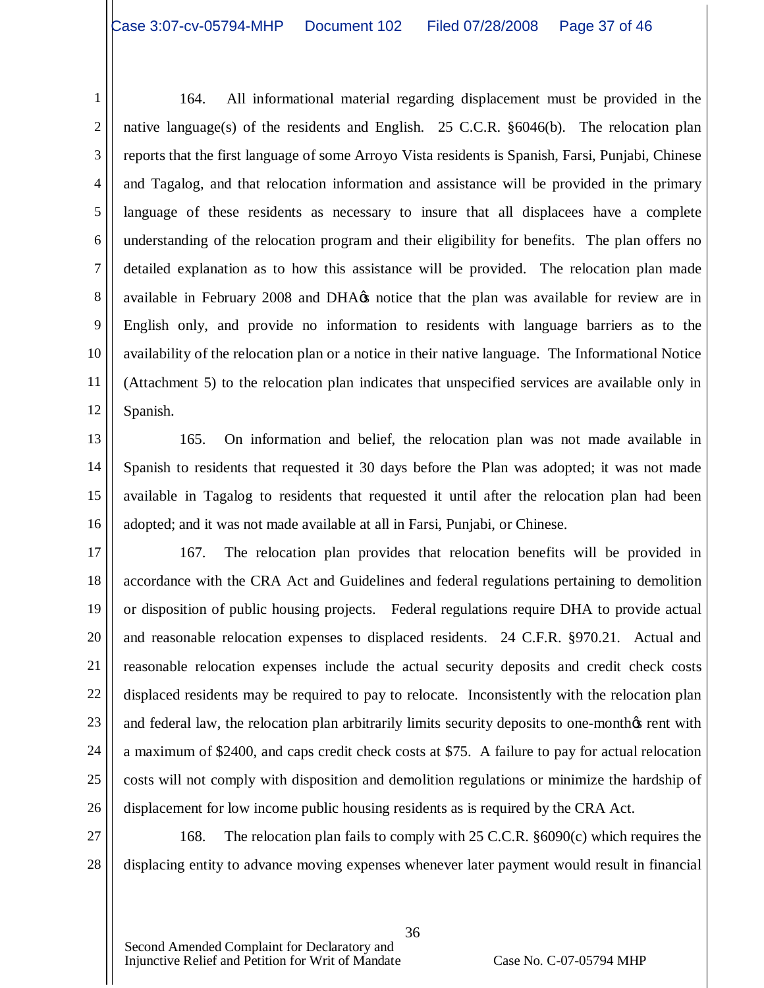1 2 3 4 5 6 7 8 9 10 11 12 164. All informational material regarding displacement must be provided in the native language(s) of the residents and English. 25 C.C.R. §6046(b). The relocation plan reports that the first language of some Arroyo Vista residents is Spanish, Farsi, Punjabi, Chinese and Tagalog, and that relocation information and assistance will be provided in the primary language of these residents as necessary to insure that all displacees have a complete understanding of the relocation program and their eligibility for benefits. The plan offers no detailed explanation as to how this assistance will be provided. The relocation plan made available in February 2008 and DHA $\alpha$  notice that the plan was available for review are in English only, and provide no information to residents with language barriers as to the availability of the relocation plan or a notice in their native language. The Informational Notice (Attachment 5) to the relocation plan indicates that unspecified services are available only in Spanish.

13 14

15

16 165. On information and belief, the relocation plan was not made available in Spanish to residents that requested it 30 days before the Plan was adopted; it was not made available in Tagalog to residents that requested it until after the relocation plan had been adopted; and it was not made available at all in Farsi, Punjabi, or Chinese.

17 18 19 20 21 22 23 24 25 26 167. The relocation plan provides that relocation benefits will be provided in accordance with the CRA Act and Guidelines and federal regulations pertaining to demolition or disposition of public housing projects. Federal regulations require DHA to provide actual and reasonable relocation expenses to displaced residents. 24 C.F.R. §970.21. Actual and reasonable relocation expenses include the actual security deposits and credit check costs displaced residents may be required to pay to relocate. Inconsistently with the relocation plan and federal law, the relocation plan arbitrarily limits security deposits to one-monthos rent with a maximum of \$2400, and caps credit check costs at \$75. A failure to pay for actual relocation costs will not comply with disposition and demolition regulations or minimize the hardship of displacement for low income public housing residents as is required by the CRA Act.

27 28 168. The relocation plan fails to comply with 25 C.C.R. §6090(c) which requires the displacing entity to advance moving expenses whenever later payment would result in financial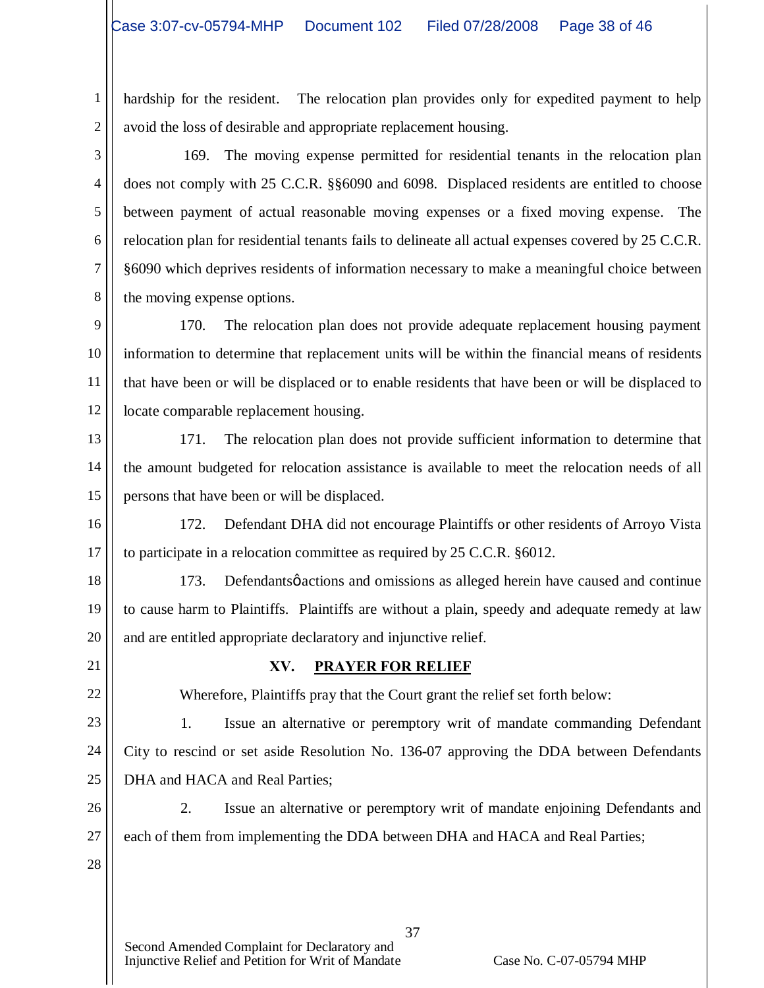1 2 hardship for the resident. The relocation plan provides only for expedited payment to help avoid the loss of desirable and appropriate replacement housing.

3 4 5 6 7 8 169. The moving expense permitted for residential tenants in the relocation plan does not comply with 25 C.C.R. §§6090 and 6098. Displaced residents are entitled to choose between payment of actual reasonable moving expenses or a fixed moving expense. The relocation plan for residential tenants fails to delineate all actual expenses covered by 25 C.C.R. §6090 which deprives residents of information necessary to make a meaningful choice between the moving expense options.

9 10 11 12 170. The relocation plan does not provide adequate replacement housing payment information to determine that replacement units will be within the financial means of residents that have been or will be displaced or to enable residents that have been or will be displaced to locate comparable replacement housing.

13 14 15 171. The relocation plan does not provide sufficient information to determine that the amount budgeted for relocation assistance is available to meet the relocation needs of all persons that have been or will be displaced.

16 17 172. Defendant DHA did not encourage Plaintiffs or other residents of Arroyo Vista to participate in a relocation committee as required by 25 C.C.R. §6012.

18

19 20 173. Defendants pactions and omissions as alleged herein have caused and continue to cause harm to Plaintiffs. Plaintiffs are without a plain, speedy and adequate remedy at law and are entitled appropriate declaratory and injunctive relief.

21

23

22

# **XV. PRAYER FOR RELIEF**

Wherefore, Plaintiffs pray that the Court grant the relief set forth below:

24 25 1. Issue an alternative or peremptory writ of mandate commanding Defendant City to rescind or set aside Resolution No. 136-07 approving the DDA between Defendants DHA and HACA and Real Parties;

26 27 2. Issue an alternative or peremptory writ of mandate enjoining Defendants and each of them from implementing the DDA between DHA and HACA and Real Parties;

37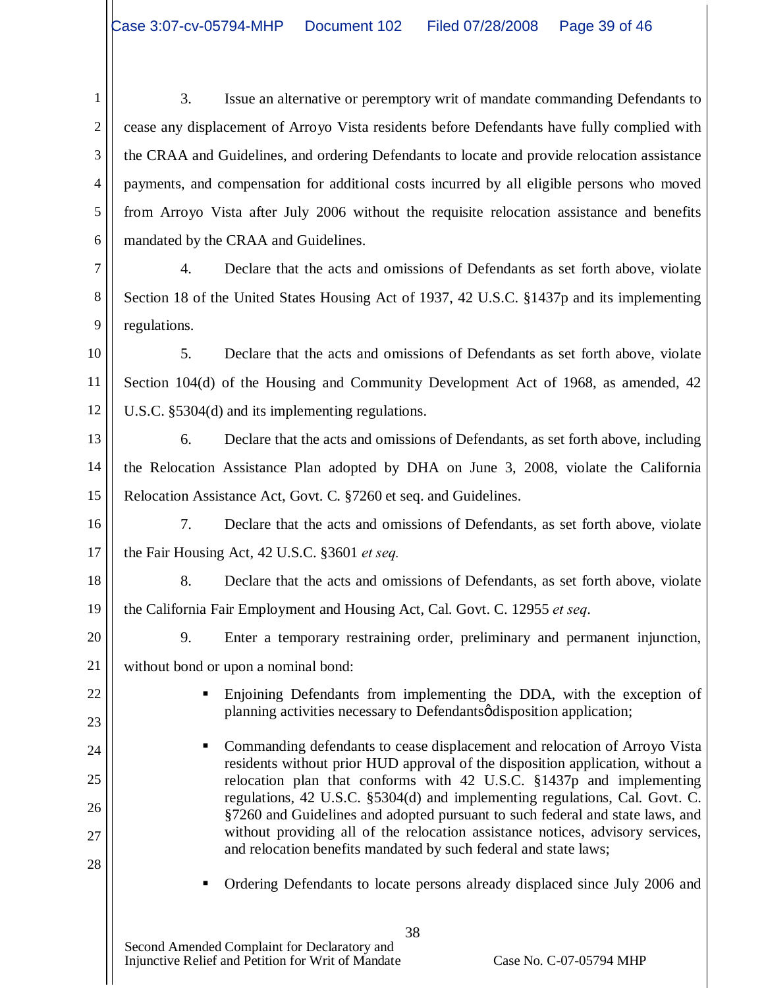1 2 3 4 5 6 3. Issue an alternative or peremptory writ of mandate commanding Defendants to cease any displacement of Arroyo Vista residents before Defendants have fully complied with the CRAA and Guidelines, and ordering Defendants to locate and provide relocation assistance payments, and compensation for additional costs incurred by all eligible persons who moved from Arroyo Vista after July 2006 without the requisite relocation assistance and benefits mandated by the CRAA and Guidelines.

7 8 9 4. Declare that the acts and omissions of Defendants as set forth above, violate Section 18 of the United States Housing Act of 1937, 42 U.S.C. §1437p and its implementing regulations.

10 11 12 5. Declare that the acts and omissions of Defendants as set forth above, violate Section 104(d) of the Housing and Community Development Act of 1968, as amended, 42 U.S.C. §5304(d) and its implementing regulations.

13 14 15 6. Declare that the acts and omissions of Defendants, as set forth above, including the Relocation Assistance Plan adopted by DHA on June 3, 2008, violate the California Relocation Assistance Act, Govt. C. §7260 et seq. and Guidelines.

16 17 7. Declare that the acts and omissions of Defendants, as set forth above, violate the Fair Housing Act, 42 U.S.C. §3601 *et seq.*

18 19 8. Declare that the acts and omissions of Defendants, as set forth above, violate the California Fair Employment and Housing Act, Cal. Govt. C. 12955 *et seq*.

20

22

23

24

25

26

27

28

9. Enter a temporary restraining order, preliminary and permanent injunction,

21 without bond or upon a nominal bond:

- ß Enjoining Defendants from implementing the DDA, with the exception of planning activities necessary to Defendantsø disposition application;
- Commanding defendants to cease displacement and relocation of Arroyo Vista residents without prior HUD approval of the disposition application, without a relocation plan that conforms with 42 U.S.C. §1437p and implementing regulations, 42 U.S.C. §5304(d) and implementing regulations, Cal. Govt. C. §7260 and Guidelines and adopted pursuant to such federal and state laws, and without providing all of the relocation assistance notices, advisory services, and relocation benefits mandated by such federal and state laws;
	- ß Ordering Defendants to locate persons already displaced since July 2006 and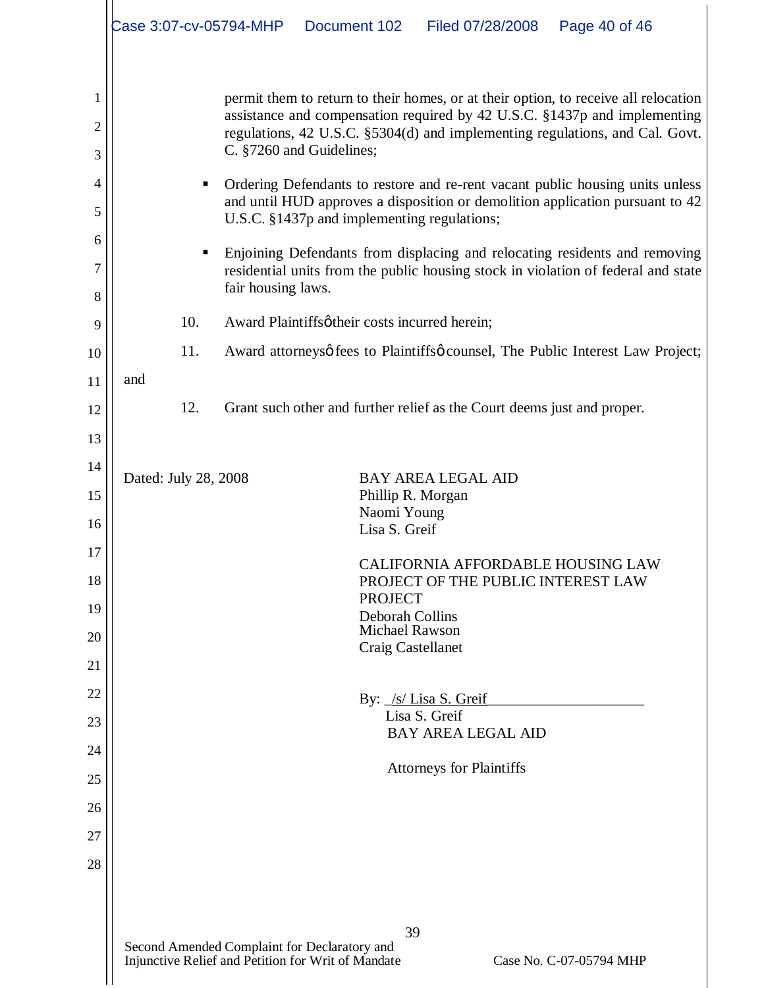|                                           | Case 3:07-cv-05794-MHP<br>Document 102<br>Filed 07/28/2008<br>Page 40 of 46                                                                                                                                                                                                                                                                                                                                                                                                                                                                                                                                                                                                                                                                              |
|-------------------------------------------|----------------------------------------------------------------------------------------------------------------------------------------------------------------------------------------------------------------------------------------------------------------------------------------------------------------------------------------------------------------------------------------------------------------------------------------------------------------------------------------------------------------------------------------------------------------------------------------------------------------------------------------------------------------------------------------------------------------------------------------------------------|
| 1<br>2<br>3<br>4<br>5<br>6<br>7<br>8<br>9 | permit them to return to their homes, or at their option, to receive all relocation<br>assistance and compensation required by 42 U.S.C. §1437p and implementing<br>regulations, 42 U.S.C. §5304(d) and implementing regulations, and Cal. Govt.<br>C. §7260 and Guidelines;<br>Ordering Defendants to restore and re-rent vacant public housing units unless<br>п<br>and until HUD approves a disposition or demolition application pursuant to 42<br>U.S.C. §1437p and implementing regulations;<br>Enjoining Defendants from displacing and relocating residents and removing<br>п<br>residential units from the public housing stock in violation of federal and state<br>fair housing laws.<br>10.<br>Award Plaintiffsøtheir costs incurred herein; |
| 10                                        | 11.<br>Award attorneysø fees to Plaintiffsø counsel, The Public Interest Law Project;                                                                                                                                                                                                                                                                                                                                                                                                                                                                                                                                                                                                                                                                    |
| 11                                        | and                                                                                                                                                                                                                                                                                                                                                                                                                                                                                                                                                                                                                                                                                                                                                      |
| 12                                        | 12.<br>Grant such other and further relief as the Court deems just and proper.                                                                                                                                                                                                                                                                                                                                                                                                                                                                                                                                                                                                                                                                           |
| 13                                        |                                                                                                                                                                                                                                                                                                                                                                                                                                                                                                                                                                                                                                                                                                                                                          |
| 14<br>15                                  | Dated: July 28, 2008<br><b>BAY AREA LEGAL AID</b><br>Phillip R. Morgan                                                                                                                                                                                                                                                                                                                                                                                                                                                                                                                                                                                                                                                                                   |
| 16                                        | Naomi Young                                                                                                                                                                                                                                                                                                                                                                                                                                                                                                                                                                                                                                                                                                                                              |
| 17                                        | Lisa S. Greif                                                                                                                                                                                                                                                                                                                                                                                                                                                                                                                                                                                                                                                                                                                                            |
| 18                                        | CALIFORNIA AFFORDABLE HOUSING LAW<br>PROJECT OF THE PUBLIC INTEREST LAW                                                                                                                                                                                                                                                                                                                                                                                                                                                                                                                                                                                                                                                                                  |
| 19                                        | <b>PROJECT</b><br>Deborah Collins                                                                                                                                                                                                                                                                                                                                                                                                                                                                                                                                                                                                                                                                                                                        |
| 20                                        | <b>Michael Rawson</b><br>Craig Castellanet                                                                                                                                                                                                                                                                                                                                                                                                                                                                                                                                                                                                                                                                                                               |
| 21                                        |                                                                                                                                                                                                                                                                                                                                                                                                                                                                                                                                                                                                                                                                                                                                                          |
| 22                                        | By: /s/ Lisa S. Greif<br>Lisa S. Greif                                                                                                                                                                                                                                                                                                                                                                                                                                                                                                                                                                                                                                                                                                                   |
| 23<br>24                                  | <b>BAY AREA LEGAL AID</b>                                                                                                                                                                                                                                                                                                                                                                                                                                                                                                                                                                                                                                                                                                                                |
| 25                                        | <b>Attorneys for Plaintiffs</b>                                                                                                                                                                                                                                                                                                                                                                                                                                                                                                                                                                                                                                                                                                                          |
| 26                                        |                                                                                                                                                                                                                                                                                                                                                                                                                                                                                                                                                                                                                                                                                                                                                          |
| 27                                        |                                                                                                                                                                                                                                                                                                                                                                                                                                                                                                                                                                                                                                                                                                                                                          |
| 28                                        |                                                                                                                                                                                                                                                                                                                                                                                                                                                                                                                                                                                                                                                                                                                                                          |
|                                           |                                                                                                                                                                                                                                                                                                                                                                                                                                                                                                                                                                                                                                                                                                                                                          |
|                                           | 39<br>Second Amended Complaint for Declaratory and<br>Injunctive Relief and Petition for Writ of Mandate<br>Case No. C-07-05794 MHP                                                                                                                                                                                                                                                                                                                                                                                                                                                                                                                                                                                                                      |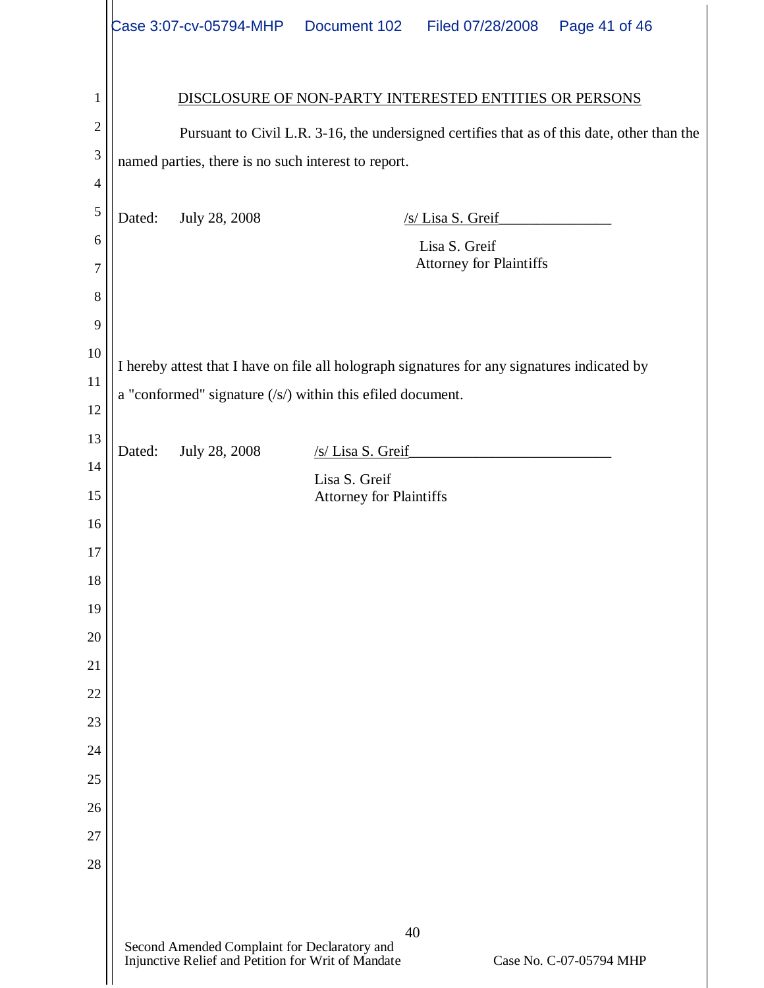|        |        | Case 3:07-cv-05794-MHP  Document 102                                                               |                                                 | Filed 07/28/2008                                                                             | Page 41 of 46                                                                               |
|--------|--------|----------------------------------------------------------------------------------------------------|-------------------------------------------------|----------------------------------------------------------------------------------------------|---------------------------------------------------------------------------------------------|
| 1      |        |                                                                                                    |                                                 | DISCLOSURE OF NON-PARTY INTERESTED ENTITIES OR PERSONS                                       |                                                                                             |
| 2      |        |                                                                                                    |                                                 |                                                                                              | Pursuant to Civil L.R. 3-16, the undersigned certifies that as of this date, other than the |
| 3      |        | named parties, there is no such interest to report.                                                |                                                 |                                                                                              |                                                                                             |
| 4<br>5 |        |                                                                                                    |                                                 |                                                                                              |                                                                                             |
| 6      | Dated: | July 28, 2008                                                                                      |                                                 | /s/ Lisa S. Greif                                                                            |                                                                                             |
| 7      |        |                                                                                                    |                                                 | Lisa S. Greif<br><b>Attorney for Plaintiffs</b>                                              |                                                                                             |
| 8      |        |                                                                                                    |                                                 |                                                                                              |                                                                                             |
| 9      |        |                                                                                                    |                                                 |                                                                                              |                                                                                             |
| 10     |        |                                                                                                    |                                                 |                                                                                              |                                                                                             |
| 11     |        |                                                                                                    |                                                 | I hereby attest that I have on file all holograph signatures for any signatures indicated by |                                                                                             |
| 12     |        | a "conformed" signature $(\sqrt{s})$ within this efiled document.                                  |                                                 |                                                                                              |                                                                                             |
| 13     |        |                                                                                                    |                                                 |                                                                                              |                                                                                             |
| 14     | Dated: | July 28, 2008                                                                                      | /s/ Lisa S. Greif                               |                                                                                              |                                                                                             |
| 15     |        |                                                                                                    | Lisa S. Greif<br><b>Attorney for Plaintiffs</b> |                                                                                              |                                                                                             |
| 16     |        |                                                                                                    |                                                 |                                                                                              |                                                                                             |
| 17     |        |                                                                                                    |                                                 |                                                                                              |                                                                                             |
| 18     |        |                                                                                                    |                                                 |                                                                                              |                                                                                             |
| 19     |        |                                                                                                    |                                                 |                                                                                              |                                                                                             |
| 20     |        |                                                                                                    |                                                 |                                                                                              |                                                                                             |
| 21     |        |                                                                                                    |                                                 |                                                                                              |                                                                                             |
| 22     |        |                                                                                                    |                                                 |                                                                                              |                                                                                             |
| 23     |        |                                                                                                    |                                                 |                                                                                              |                                                                                             |
| 24     |        |                                                                                                    |                                                 |                                                                                              |                                                                                             |
| 25     |        |                                                                                                    |                                                 |                                                                                              |                                                                                             |
| 26     |        |                                                                                                    |                                                 |                                                                                              |                                                                                             |
| 27     |        |                                                                                                    |                                                 |                                                                                              |                                                                                             |
| 28     |        |                                                                                                    |                                                 |                                                                                              |                                                                                             |
|        |        | Second Amended Complaint for Declaratory and<br>Injunctive Relief and Petition for Writ of Mandate | 40                                              |                                                                                              | Case No. C-07-05794 MHP                                                                     |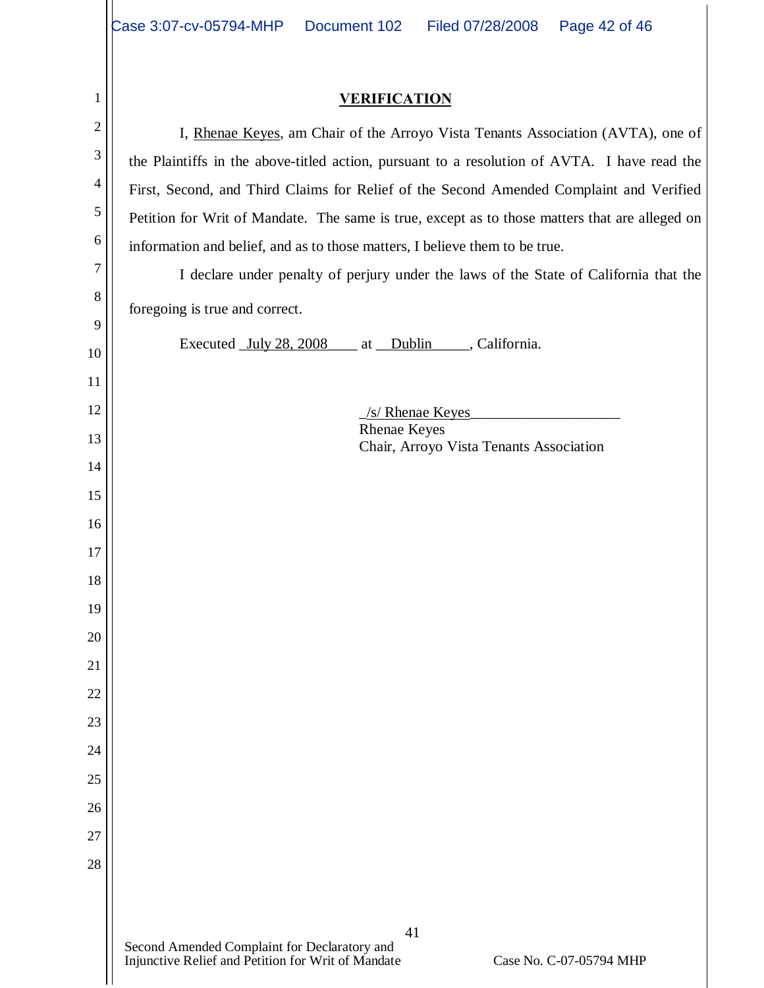# **VERIFICATION**

| 1              | <b>VERIFICATION</b>                                                                                                           |  |  |
|----------------|-------------------------------------------------------------------------------------------------------------------------------|--|--|
| $\mathbf{2}$   | I, Rhenae Keyes, am Chair of the Arroyo Vista Tenants Association (AVTA), one of                                              |  |  |
| 3              | the Plaintiffs in the above-titled action, pursuant to a resolution of AVTA. I have read the                                  |  |  |
| $\overline{4}$ | First, Second, and Third Claims for Relief of the Second Amended Complaint and Verified                                       |  |  |
| 5              | Petition for Writ of Mandate. The same is true, except as to those matters that are alleged on                                |  |  |
| 6              | information and belief, and as to those matters, I believe them to be true.                                                   |  |  |
| $\tau$         | I declare under penalty of perjury under the laws of the State of California that the                                         |  |  |
| 8              | foregoing is true and correct.                                                                                                |  |  |
| 9              | Executed <u>July 28, 2008</u><br>at Dublin _____, California.                                                                 |  |  |
| 10             |                                                                                                                               |  |  |
| 11             |                                                                                                                               |  |  |
| 12             | /s/ Rhenae Keyes<br><b>Rhenae Keyes</b>                                                                                       |  |  |
| 13             | Chair, Arroyo Vista Tenants Association                                                                                       |  |  |
| 14             |                                                                                                                               |  |  |
| 15<br>16       |                                                                                                                               |  |  |
| 17             |                                                                                                                               |  |  |
| 18             |                                                                                                                               |  |  |
| 19             |                                                                                                                               |  |  |
| 20             |                                                                                                                               |  |  |
| 21             |                                                                                                                               |  |  |
| 22             |                                                                                                                               |  |  |
| 23             |                                                                                                                               |  |  |
| 24             |                                                                                                                               |  |  |
| 25             |                                                                                                                               |  |  |
| 26             |                                                                                                                               |  |  |
| 27             |                                                                                                                               |  |  |
| 28             |                                                                                                                               |  |  |
|                |                                                                                                                               |  |  |
|                | 41                                                                                                                            |  |  |
|                | Second Amended Complaint for Declaratory and<br>Injunctive Relief and Petition for Writ of Mandate<br>Case No. C-07-05794 MHP |  |  |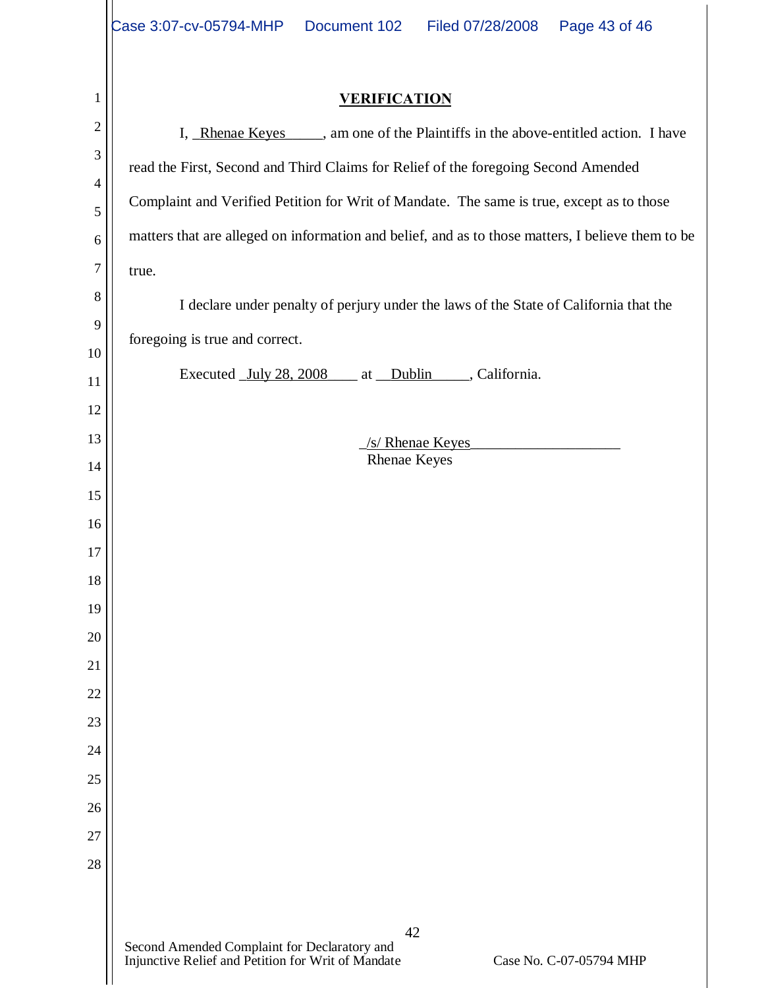|                | Document 102<br>Case 3:07-cv-05794-MHP<br>Page 43 of 46<br>Filed 07/28/2008                                                         |  |  |
|----------------|-------------------------------------------------------------------------------------------------------------------------------------|--|--|
|                |                                                                                                                                     |  |  |
| $\mathbf{1}$   | <b>VERIFICATION</b>                                                                                                                 |  |  |
| $\overline{2}$ | I, Rhenae Keyes _____, am one of the Plaintiffs in the above-entitled action. I have                                                |  |  |
| 3              | read the First, Second and Third Claims for Relief of the foregoing Second Amended                                                  |  |  |
| $\overline{4}$ | Complaint and Verified Petition for Writ of Mandate. The same is true, except as to those                                           |  |  |
| 5              |                                                                                                                                     |  |  |
| 6<br>$\tau$    | matters that are alleged on information and belief, and as to those matters, I believe them to be                                   |  |  |
| 8              | true.                                                                                                                               |  |  |
| 9              | I declare under penalty of perjury under the laws of the State of California that the                                               |  |  |
| 10             | foregoing is true and correct.                                                                                                      |  |  |
| 11             | Executed July 28, 2008 at Dublin , California.                                                                                      |  |  |
| 12             |                                                                                                                                     |  |  |
| 13             | /s/ Rhenae Keyes                                                                                                                    |  |  |
| 14             | <b>Rhenae Keyes</b>                                                                                                                 |  |  |
| 15             |                                                                                                                                     |  |  |
| 16             |                                                                                                                                     |  |  |
| 17<br>18       |                                                                                                                                     |  |  |
| 19             |                                                                                                                                     |  |  |
| 20             |                                                                                                                                     |  |  |
| 21             |                                                                                                                                     |  |  |
| 22             |                                                                                                                                     |  |  |
| 23             |                                                                                                                                     |  |  |
| 24             |                                                                                                                                     |  |  |
| 25             |                                                                                                                                     |  |  |
| 26             |                                                                                                                                     |  |  |
| 27             |                                                                                                                                     |  |  |
| 28             |                                                                                                                                     |  |  |
|                |                                                                                                                                     |  |  |
|                | 42<br>Second Amended Complaint for Declaratory and<br>Injunctive Relief and Petition for Writ of Mandate<br>Case No. C-07-05794 MHP |  |  |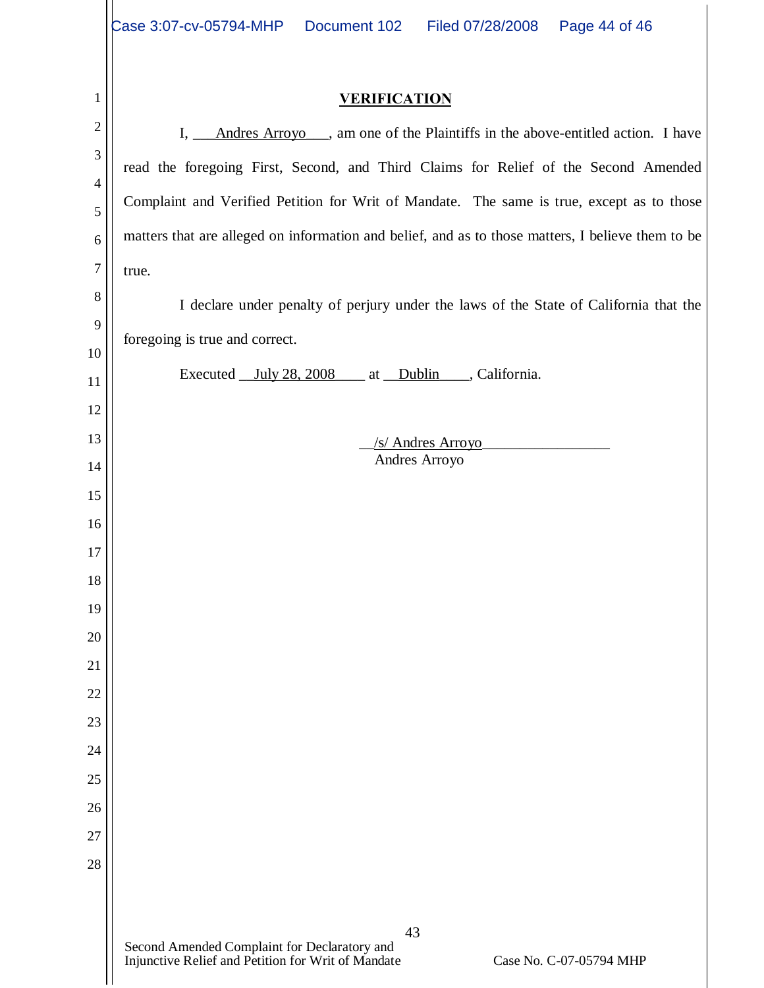|                | Case 3:07-cv-05794-MHP  Document 102<br>Page 44 of 46<br>Filed 07/28/2008                                                           |
|----------------|-------------------------------------------------------------------------------------------------------------------------------------|
|                |                                                                                                                                     |
| 1              | <b>VERIFICATION</b>                                                                                                                 |
| $\overline{2}$ | I, Andres Arroyo , am one of the Plaintiffs in the above-entitled action. I have                                                    |
| 3              | read the foregoing First, Second, and Third Claims for Relief of the Second Amended                                                 |
| 4<br>5         | Complaint and Verified Petition for Writ of Mandate. The same is true, except as to those                                           |
| 6              | matters that are alleged on information and belief, and as to those matters, I believe them to be                                   |
| 7              | true.                                                                                                                               |
| 8              | I declare under penalty of perjury under the laws of the State of California that the                                               |
| 9              |                                                                                                                                     |
| 10             | foregoing is true and correct.                                                                                                      |
| 11             | Executed July 28, 2008 at Dublin , California.                                                                                      |
| 12             |                                                                                                                                     |
| 13             | /s/ Andres Arroyo<br>Andres Arroyo                                                                                                  |
| 14             |                                                                                                                                     |
| 15<br>16       |                                                                                                                                     |
| 17             |                                                                                                                                     |
| 18             |                                                                                                                                     |
| 19             |                                                                                                                                     |
| 20             |                                                                                                                                     |
| 21             |                                                                                                                                     |
| 22             |                                                                                                                                     |
| 23             |                                                                                                                                     |
| 24             |                                                                                                                                     |
| 25             |                                                                                                                                     |
| 26<br>27       |                                                                                                                                     |
| 28             |                                                                                                                                     |
|                |                                                                                                                                     |
|                | 43<br>Second Amended Complaint for Declaratory and<br>Injunctive Relief and Petition for Writ of Mandate<br>Case No. C-07-05794 MHP |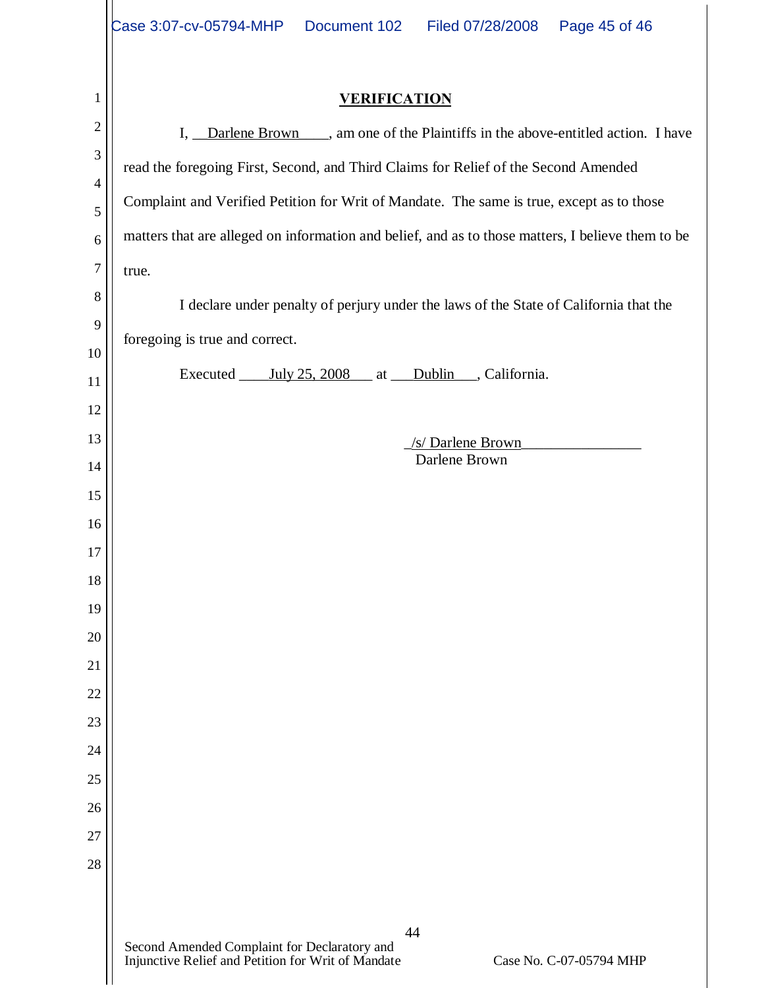|                       | Case 3:07-cv-05794-MHP  Document 102<br>Filed 07/28/2008  Page 45 of 46                                                             |  |  |
|-----------------------|-------------------------------------------------------------------------------------------------------------------------------------|--|--|
|                       |                                                                                                                                     |  |  |
| $\mathbf{1}$          | <b>VERIFICATION</b>                                                                                                                 |  |  |
| $\mathbf{2}$          | I, Darlene Brown , am one of the Plaintiffs in the above-entitled action. I have                                                    |  |  |
| 3                     | read the foregoing First, Second, and Third Claims for Relief of the Second Amended                                                 |  |  |
| $\overline{4}$        | Complaint and Verified Petition for Writ of Mandate. The same is true, except as to those                                           |  |  |
| 5                     |                                                                                                                                     |  |  |
| 6<br>$\boldsymbol{7}$ | matters that are alleged on information and belief, and as to those matters, I believe them to be                                   |  |  |
| $\,8\,$               | true.                                                                                                                               |  |  |
| 9                     | I declare under penalty of perjury under the laws of the State of California that the                                               |  |  |
| 10                    | foregoing is true and correct.                                                                                                      |  |  |
| 11                    | Executed July 25, 2008 at Dublin, California.                                                                                       |  |  |
| 12                    |                                                                                                                                     |  |  |
| 13                    | /s/ Darlene Brown                                                                                                                   |  |  |
| 14                    | Darlene Brown                                                                                                                       |  |  |
| 15                    |                                                                                                                                     |  |  |
| 16                    |                                                                                                                                     |  |  |
| 17<br>18              |                                                                                                                                     |  |  |
| 19                    |                                                                                                                                     |  |  |
| 20                    |                                                                                                                                     |  |  |
| 21                    |                                                                                                                                     |  |  |
| 22                    |                                                                                                                                     |  |  |
| 23                    |                                                                                                                                     |  |  |
| 24                    |                                                                                                                                     |  |  |
| 25                    |                                                                                                                                     |  |  |
| 26                    |                                                                                                                                     |  |  |
| 27                    |                                                                                                                                     |  |  |
| 28                    |                                                                                                                                     |  |  |
|                       |                                                                                                                                     |  |  |
|                       | 44<br>Second Amended Complaint for Declaratory and<br>Injunctive Relief and Petition for Writ of Mandate<br>Case No. C-07-05794 MHP |  |  |